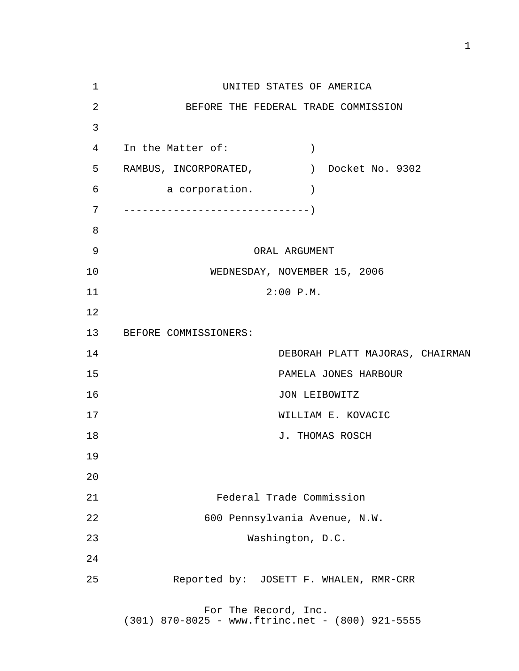1 UNITED STATES OF AMERICA 2 BEFORE THE FEDERAL TRADE COMMISSION 3 4 In the Matter of: ) 5 RAMBUS, INCORPORATED, ) Docket No. 9302 6 a corporation. ) 7 ------------------------------) 8 9 ORAL ARGUMENT 10 WEDNESDAY, NOVEMBER 15, 2006 11 2:00 P.M. 12 13 BEFORE COMMISSIONERS: 14 DEBORAH PLATT MAJORAS, CHAIRMAN 15 PAMELA JONES HARBOUR 16 JON LEIBOWITZ 17 WILLIAM E. KOVACIC 18 J. THOMAS ROSCH 19 20 21 Federal Trade Commission 22 600 Pennsylvania Avenue, N.W. 23 Washington, D.C. 24 25 Reported by: JOSETT F. WHALEN, RMR-CRR For The Record, Inc.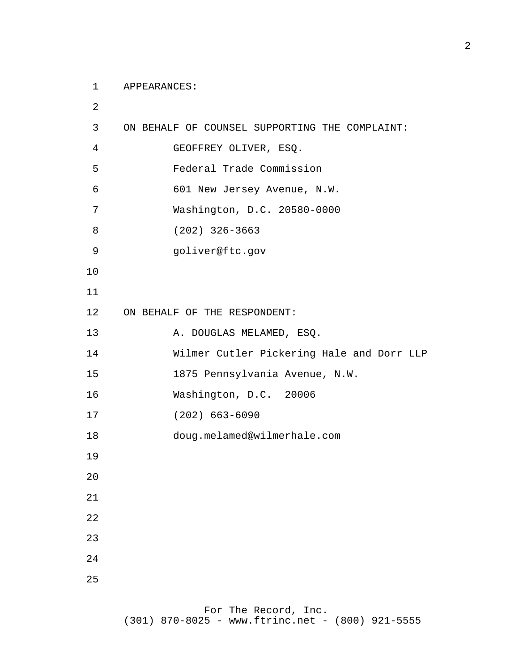APPEARANCES:

 ON BEHALF OF COUNSEL SUPPORTING THE COMPLAINT: GEOFFREY OLIVER, ESQ. Federal Trade Commission 601 New Jersey Avenue, N.W. Washington, D.C. 20580-0000 (202) 326-3663 goliver@ftc.gov ON BEHALF OF THE RESPONDENT: A. DOUGLAS MELAMED, ESQ. Wilmer Cutler Pickering Hale and Dorr LLP 1875 Pennsylvania Avenue, N.W. Washington, D.C. 20006 (202) 663-6090 doug.melamed@wilmerhale.com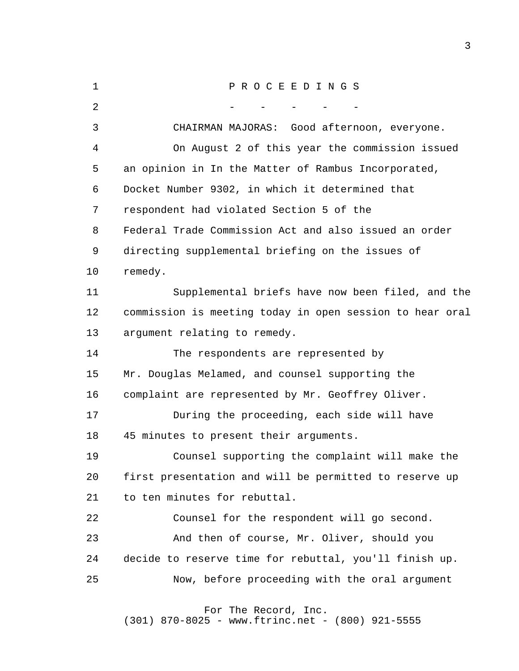| $\mathbf{1}$   | PROCEEDINGS                                              |
|----------------|----------------------------------------------------------|
| $\overline{2}$ |                                                          |
| 3              | CHAIRMAN MAJORAS: Good afternoon, everyone.              |
| 4              | On August 2 of this year the commission issued           |
| 5              | an opinion in In the Matter of Rambus Incorporated,      |
| 6              | Docket Number 9302, in which it determined that          |
| 7              | respondent had violated Section 5 of the                 |
| 8              | Federal Trade Commission Act and also issued an order    |
| 9              | directing supplemental briefing on the issues of         |
| 10             | remedy.                                                  |
| 11             | Supplemental briefs have now been filed, and the         |
| 12             | commission is meeting today in open session to hear oral |
| 13             | argument relating to remedy.                             |
| 14             | The respondents are represented by                       |
| 15             | Mr. Douglas Melamed, and counsel supporting the          |
| 16             | complaint are represented by Mr. Geoffrey Oliver.        |
| 17             | During the proceeding, each side will have               |
| 18             | 45 minutes to present their arguments.                   |
| 19             | Counsel supporting the complaint will make the           |
| 20             | first presentation and will be permitted to reserve up   |
| 21             | to ten minutes for rebuttal.                             |
| 22             | Counsel for the respondent will go second.               |
| 23             | And then of course, Mr. Oliver, should you               |
| 24             | decide to reserve time for rebuttal, you'll finish up.   |
| 25             | Now, before proceeding with the oral argument            |
|                | For The Record, Inc.                                     |
|                |                                                          |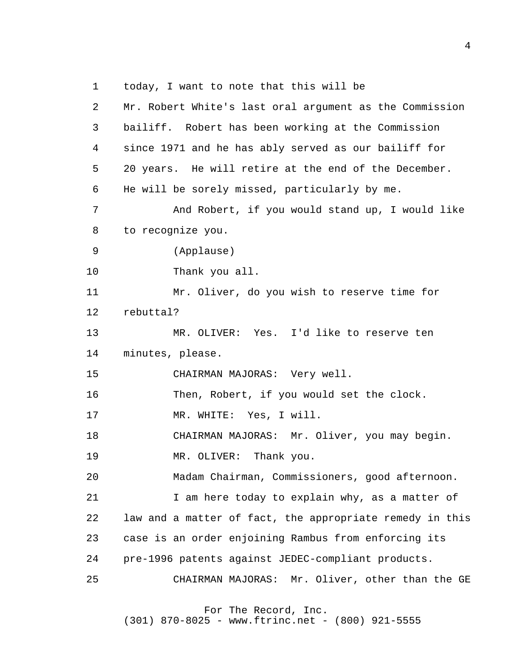1 today, I want to note that this will be

 2 3 4 **5**  6 7 8 9 10 11 12 13 14 15 16 17 18 19 20 21 22 23 24 25 Mr. Robert White's last oral argument as the Commission bailiff. Robert has been working at the Commission since 1971 and he has ably served as our bailiff for 20 years. He will retire at the end of the December. He will be sorely missed, particularly by me. And Robert, if you would stand up, I would like to recognize you. (Applause) Thank you all. Mr. Oliver, do you wish to reserve time for rebuttal? MR. OLIVER: Yes. I'd like to reserve ten minutes, please. CHAIRMAN MAJORAS: Very well. Then, Robert, if you would set the clock. MR. WHITE: Yes, I will. CHAIRMAN MAJORAS: Mr. Oliver, you may begin. MR. OLIVER: Thank you. Madam Chairman, Commissioners, good afternoon. I am here today to explain why, as a matter of law and a matter of fact, the appropriate remedy in this case is an order enjoining Rambus from enforcing its pre-1996 patents against JEDEC-compliant products. CHAIRMAN MAJORAS: Mr. Oliver, other than the GE

For The Record, Inc.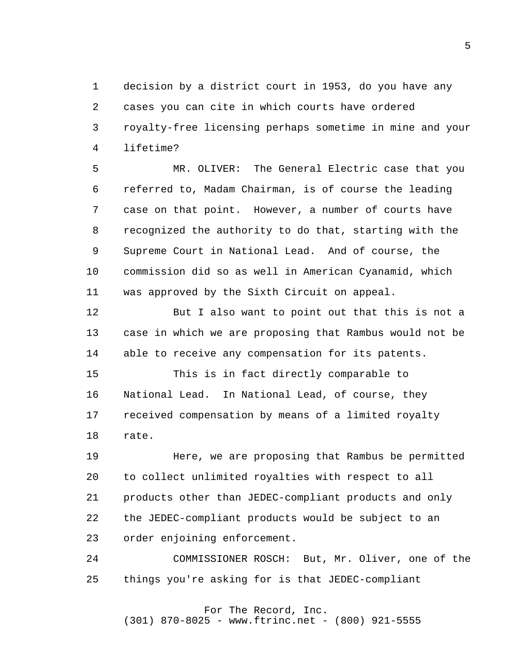1 2 3 4 decision by a district court in 1953, do you have any cases you can cite in which courts have ordered royalty-free licensing perhaps sometime in mine and your lifetime?

**5**  6 7 8 9 10 11 MR. OLIVER: The General Electric case that you referred to, Madam Chairman, is of course the leading case on that point. However, a number of courts have recognized the authority to do that, starting with the Supreme Court in National Lead. And of course, the commission did so as well in American Cyanamid, which was approved by the Sixth Circuit on appeal.

> 12 13 14 But I also want to point out that this is not a case in which we are proposing that Rambus would not be able to receive any compensation for its patents.

 15 16 17 18 This is in fact directly comparable to National Lead. In National Lead, of course, they received compensation by means of a limited royalty rate.

 19 20 21 22 23 Here, we are proposing that Rambus be permitted to collect unlimited royalties with respect to all products other than JEDEC-compliant products and only the JEDEC-compliant products would be subject to an order enjoining enforcement.

 24 25 COMMISSIONER ROSCH: But, Mr. Oliver, one of the things you're asking for is that JEDEC-compliant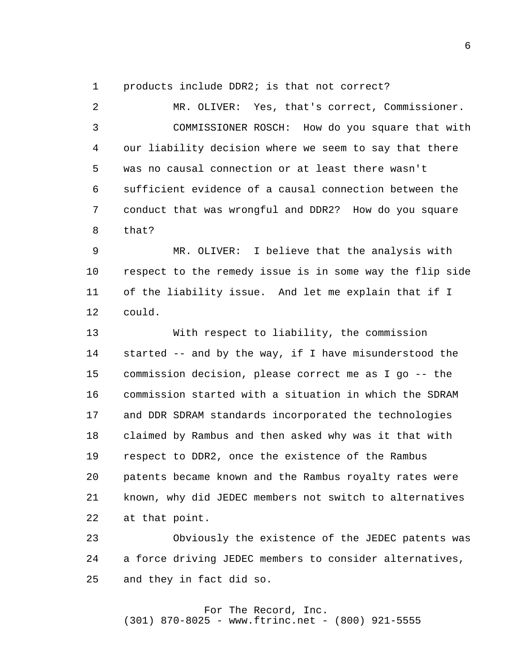1 products include DDR2; is that not correct?

 2 3 4 **5**  6 7 8 MR. OLIVER: Yes, that's correct, Commissioner. COMMISSIONER ROSCH: How do you square that with our liability decision where we seem to say that there was no causal connection or at least there wasn't sufficient evidence of a causal connection between the conduct that was wrongful and DDR2? How do you square that?

 9 10 11 12 MR. OLIVER: I believe that the analysis with respect to the remedy issue is in some way the flip side of the liability issue. And let me explain that if I could.

> 13 14 15 16 17 18 19 20 21 22 With respect to liability, the commission started -- and by the way, if I have misunderstood the commission decision, please correct me as I go -- the commission started with a situation in which the SDRAM and DDR SDRAM standards incorporated the technologies claimed by Rambus and then asked why was it that with respect to DDR2, once the existence of the Rambus patents became known and the Rambus royalty rates were known, why did JEDEC members not switch to alternatives at that point.

 23 24 25 Obviously the existence of the JEDEC patents was a force driving JEDEC members to consider alternatives, and they in fact did so.

#### For The Record, Inc. (301) 870-8025 - www.ftrinc.net - (800) 921-5555

 $6<sup>1</sup>$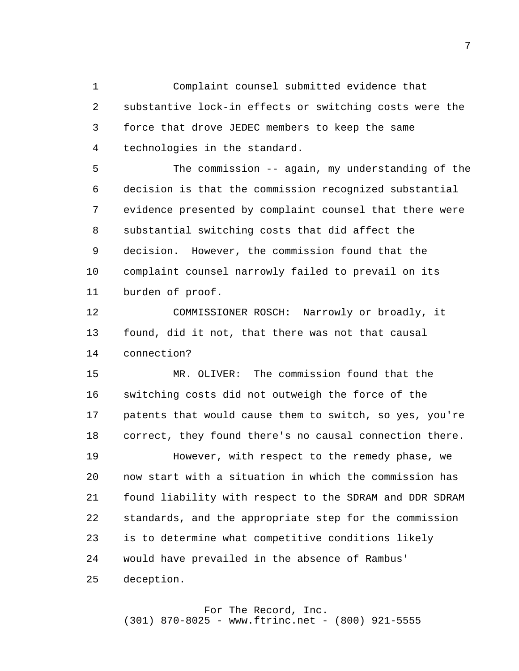1 2 3 4 Complaint counsel submitted evidence that substantive lock-in effects or switching costs were the force that drove JEDEC members to keep the same technologies in the standard.

**5**  6 7 8 9 10 11 The commission -- again, my understanding of the decision is that the commission recognized substantial evidence presented by complaint counsel that there were substantial switching costs that did affect the decision. However, the commission found that the complaint counsel narrowly failed to prevail on its burden of proof.

> 12 13 14 COMMISSIONER ROSCH: Narrowly or broadly, it found, did it not, that there was not that causal connection?

 15 16 17 18 MR. OLIVER: The commission found that the switching costs did not outweigh the force of the patents that would cause them to switch, so yes, you're correct, they found there's no causal connection there.

 19 20 21 22 23 24 25 However, with respect to the remedy phase, we now start with a situation in which the commission has found liability with respect to the SDRAM and DDR SDRAM standards, and the appropriate step for the commission is to determine what competitive conditions likely would have prevailed in the absence of Rambus' deception.

# For The Record, Inc.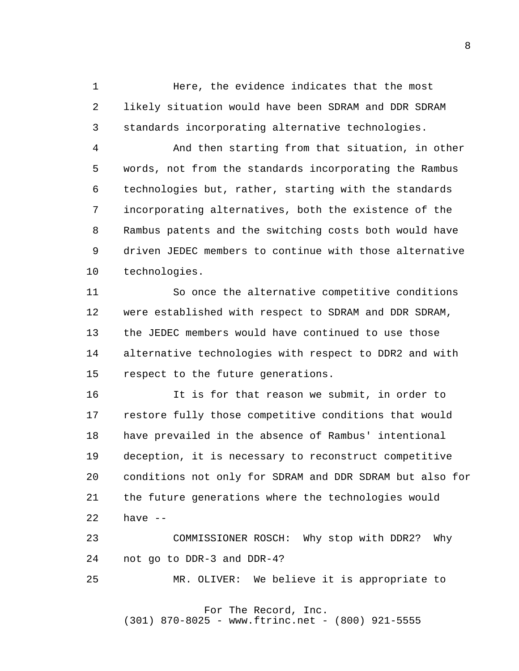1 2 3 Here, the evidence indicates that the most likely situation would have been SDRAM and DDR SDRAM standards incorporating alternative technologies.

 4 **5**  6 7 8 9 10 And then starting from that situation, in other words, not from the standards incorporating the Rambus technologies but, rather, starting with the standards incorporating alternatives, both the existence of the Rambus patents and the switching costs both would have driven JEDEC members to continue with those alternative technologies.

> 11 12 13 14 15 So once the alternative competitive conditions were established with respect to SDRAM and DDR SDRAM, the JEDEC members would have continued to use those alternative technologies with respect to DDR2 and with respect to the future generations.

 16 17 18 19 20 21 22 It is for that reason we submit, in order to restore fully those competitive conditions that would have prevailed in the absence of Rambus' intentional deception, it is necessary to reconstruct competitive conditions not only for SDRAM and DDR SDRAM but also for the future generations where the technologies would have  $--$ 

 23 24 COMMISSIONER ROSCH: Why stop with DDR2? Why not go to DDR-3 and DDR-4?

 25 MR. OLIVER: We believe it is appropriate to

For The Record, Inc.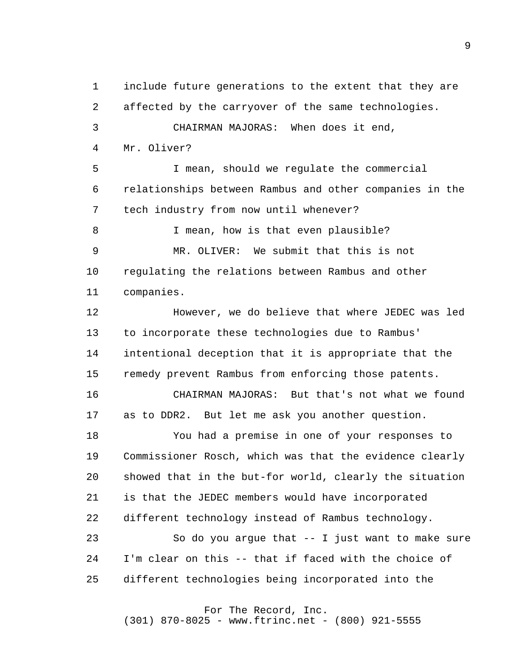1 2 3 4 **5**  6 7 8 9 10 11 12 13 14 15 16 17 18 19 20 21 22 23 24 25 include future generations to the extent that they are affected by the carryover of the same technologies. CHAIRMAN MAJORAS: When does it end, Mr. Oliver? I mean, should we regulate the commercial relationships between Rambus and other companies in the tech industry from now until whenever? I mean, how is that even plausible? MR. OLIVER: We submit that this is not regulating the relations between Rambus and other companies. However, we do believe that where JEDEC was led to incorporate these technologies due to Rambus' intentional deception that it is appropriate that the remedy prevent Rambus from enforcing those patents. CHAIRMAN MAJORAS: But that's not what we found as to DDR2. But let me ask you another question. You had a premise in one of your responses to Commissioner Rosch, which was that the evidence clearly showed that in the but-for world, clearly the situation is that the JEDEC members would have incorporated different technology instead of Rambus technology. So do you argue that  $-$ - I just want to make sure I'm clear on this -- that if faced with the choice of different technologies being incorporated into the

## For The Record, Inc.

(301) 870-8025 - www.ftrinc.net - (800) 921-5555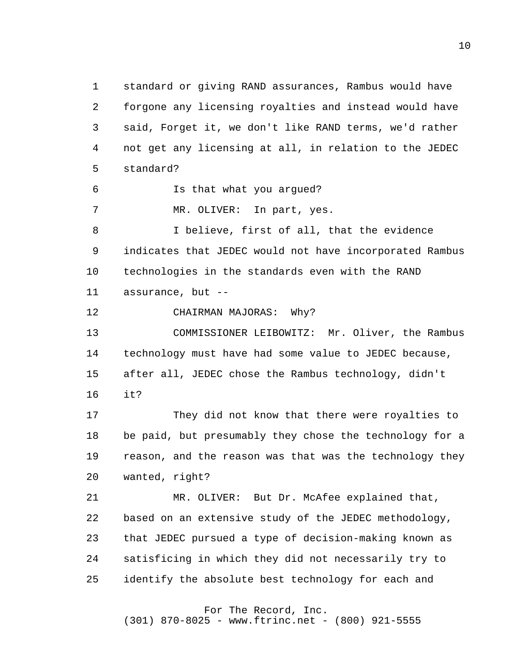1 2 3 4  $5<sub>5</sub>$  6 7 8 9 10 11 12 13 14 15 16 17 18 19 20 21 22 23 24 25 standard or giving RAND assurances, Rambus would have forgone any licensing royalties and instead would have said, Forget it, we don't like RAND terms, we'd rather not get any licensing at all, in relation to the JEDEC standard? Is that what you argued? MR. OLIVER: In part, yes. I believe, first of all, that the evidence indicates that JEDEC would not have incorporated Rambus technologies in the standards even with the RAND assurance, but  $--$ CHAIRMAN MAJORAS: Why? COMMISSIONER LEIBOWITZ: Mr. Oliver, the Rambus technology must have had some value to JEDEC because, after all, JEDEC chose the Rambus technology, didn't it? They did not know that there were royalties to be paid, but presumably they chose the technology for a reason, and the reason was that was the technology they wanted, right? MR. OLIVER: But Dr. McAfee explained that, based on an extensive study of the JEDEC methodology, that JEDEC pursued a type of decision-making known as satisficing in which they did not necessarily try to identify the absolute best technology for each and

For The Record, Inc.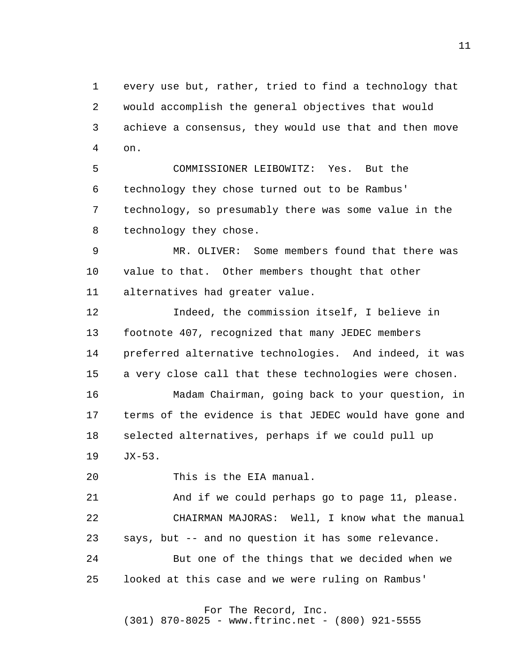1 2 3 4 every use but, rather, tried to find a technology that would accomplish the general objectives that would achieve a consensus, they would use that and then move on.

 $5<sub>5</sub>$  6 7 8 COMMISSIONER LEIBOWITZ: Yes. But the technology they chose turned out to be Rambus' technology, so presumably there was some value in the technology they chose.

 9 10 11 MR. OLIVER: Some members found that there was value to that. Other members thought that other alternatives had greater value.

> 12 13 14 15 16 17 18 19 Indeed, the commission itself, I believe in footnote 407, recognized that many JEDEC members preferred alternative technologies. And indeed, it was a very close call that these technologies were chosen. Madam Chairman, going back to your question, in terms of the evidence is that JEDEC would have gone and selected alternatives, perhaps if we could pull up JX-53.

 20 This is the EIA manual.

 21 22 23 24 25 And if we could perhaps go to page 11, please. CHAIRMAN MAJORAS: Well, I know what the manual says, but -- and no question it has some relevance. But one of the things that we decided when we looked at this case and we were ruling on Rambus'

## For The Record, Inc.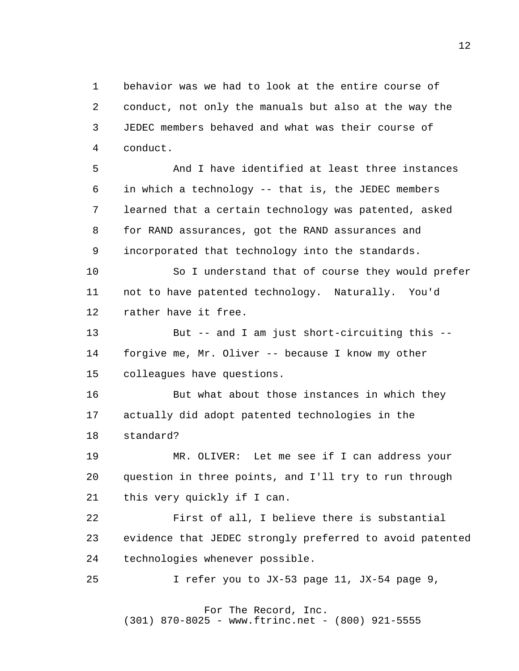1 2 3 4 behavior was we had to look at the entire course of conduct, not only the manuals but also at the way the JEDEC members behaved and what was their course of conduct.

 $5<sub>5</sub>$  6 7 8 9 And I have identified at least three instances in which a technology -- that is, the JEDEC members learned that a certain technology was patented, asked for RAND assurances, got the RAND assurances and incorporated that technology into the standards.

> 10 11 12 So I understand that of course they would prefer not to have patented technology. Naturally. You'd rather have it free.

 13 14 15 But -- and I am just short-circuiting this forgive me, Mr. Oliver -- because I know my other colleagues have questions.

 16 17 18 But what about those instances in which they actually did adopt patented technologies in the standard?

 19 20 21 MR. OLIVER: Let me see if I can address your question in three points, and I'll try to run through this very quickly if I can.

 22 23 24 First of all, I believe there is substantial evidence that JEDEC strongly preferred to avoid patented technologies whenever possible.

 25 I refer you to JX-53 page 11, JX-54 page 9,

 For The Record, Inc. (301) 870-8025 - www.ftrinc.net - (800) 921-5555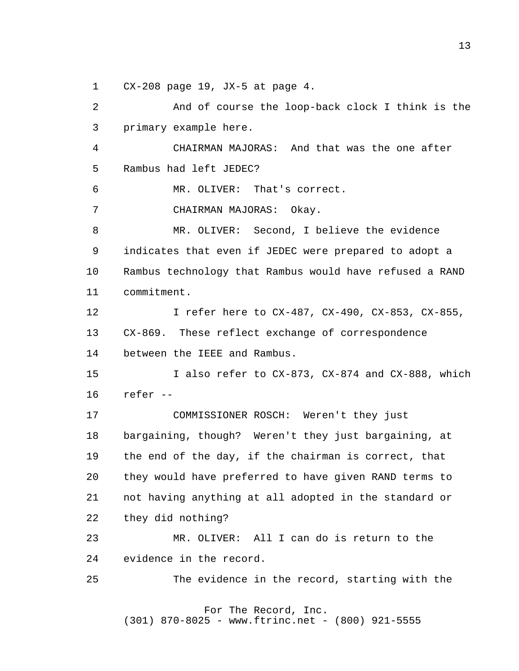1 CX-208 page 19, JX-5 at page 4.

 2 3 4  $5<sub>5</sub>$  6 7 8 9 10 11 12 13 14 15 16 17 18 19 20 21 22 23 24 25 And of course the loop-back clock I think is the primary example here. CHAIRMAN MAJORAS: And that was the one after Rambus had left JEDEC? MR. OLIVER: That's correct. CHAIRMAN MAJORAS: Okay. MR. OLIVER: Second, I believe the evidence indicates that even if JEDEC were prepared to adopt a Rambus technology that Rambus would have refused a RAND commitment. I refer here to CX-487, CX-490, CX-853, CX-855, CX-869. These reflect exchange of correspondence between the IEEE and Rambus. I also refer to CX-873, CX-874 and CX-888, which refer - COMMISSIONER ROSCH: Weren't they just bargaining, though? Weren't they just bargaining, at the end of the day, if the chairman is correct, that they would have preferred to have given RAND terms to not having anything at all adopted in the standard or they did nothing? MR. OLIVER: All I can do is return to the evidence in the record. The evidence in the record, starting with the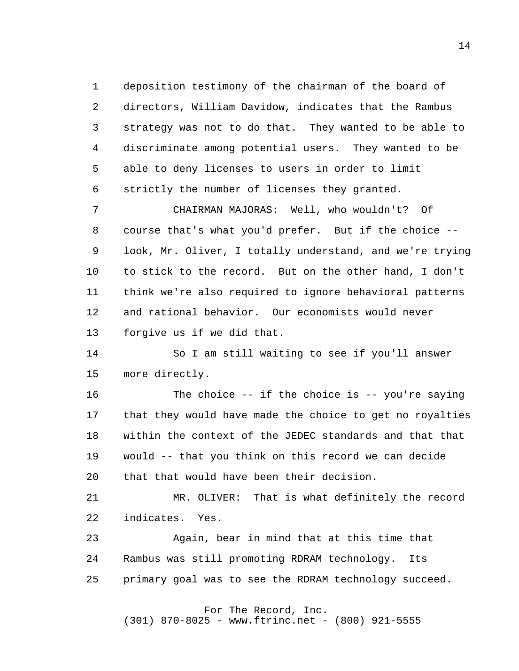1 2 3 4  $5<sub>5</sub>$  6 deposition testimony of the chairman of the board of directors, William Davidow, indicates that the Rambus strategy was not to do that. They wanted to be able to discriminate among potential users. They wanted to be able to deny licenses to users in order to limit strictly the number of licenses they granted.

 7 8 9 10 11 12 13 CHAIRMAN MAJORAS: Well, who wouldn't? Of course that's what you'd prefer. But if the choice look, Mr. Oliver, I totally understand, and we're trying to stick to the record. But on the other hand, I don't think we're also required to ignore behavioral patterns and rational behavior. Our economists would never forgive us if we did that.

> 14 15 So I am still waiting to see if you'll answer more directly.

 16 17 18 19 20 The choice -- if the choice is -- you're saying that they would have made the choice to get no royalties within the context of the JEDEC standards and that that would -- that you think on this record we can decide that that would have been their decision.

 21 22 MR. OLIVER: That is what definitely the record indicates. Yes.

 23 24 25 Again, bear in mind that at this time that Rambus was still promoting RDRAM technology. Its primary goal was to see the RDRAM technology succeed.

> For The Record, Inc. (301) 870-8025 - www.ftrinc.net - (800) 921-5555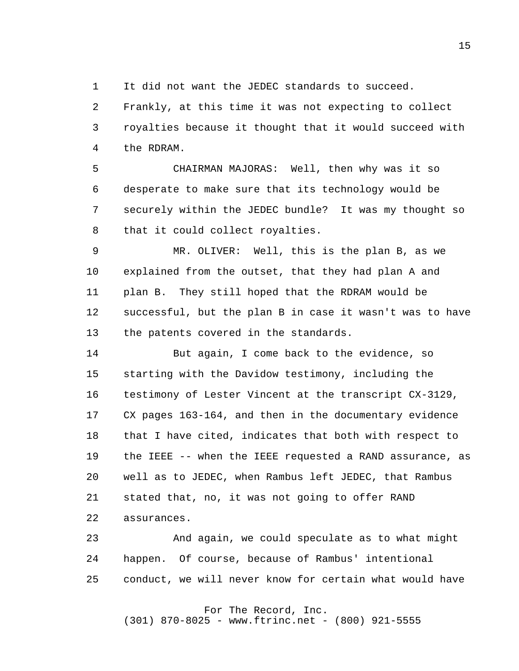1 It did not want the JEDEC standards to succeed.

 2 3 4 Frankly, at this time it was not expecting to collect royalties because it thought that it would succeed with the RDRAM.

**5**  6 7 8 CHAIRMAN MAJORAS: Well, then why was it so desperate to make sure that its technology would be securely within the JEDEC bundle? It was my thought so that it could collect royalties.

 9 10 11 12 13 MR. OLIVER: Well, this is the plan B, as we explained from the outset, that they had plan A and plan B. They still hoped that the RDRAM would be successful, but the plan B in case it wasn't was to have the patents covered in the standards.

> 14 15 16 17 18 19 20 21 22 But again, I come back to the evidence, so starting with the Davidow testimony, including the testimony of Lester Vincent at the transcript CX-3129, CX pages 163-164, and then in the documentary evidence that I have cited, indicates that both with respect to the IEEE -- when the IEEE requested a RAND assurance, as well as to JEDEC, when Rambus left JEDEC, that Rambus stated that, no, it was not going to offer RAND assurances.

 23 24 25 And again, we could speculate as to what might happen. Of course, because of Rambus' intentional conduct, we will never know for certain what would have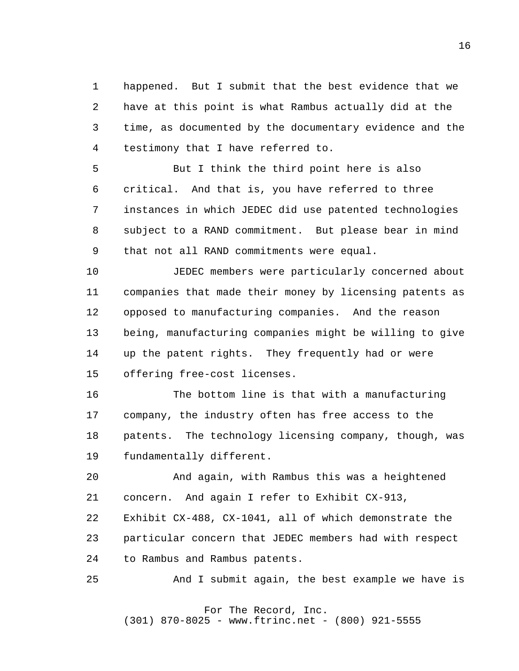1 2 3 4 happened. But I submit that the best evidence that we have at this point is what Rambus actually did at the time, as documented by the documentary evidence and the testimony that I have referred to.

**5**  6 7 8 9 But I think the third point here is also critical. And that is, you have referred to three instances in which JEDEC did use patented technologies subject to a RAND commitment. But please bear in mind that not all RAND commitments were equal.

> 10 11 12 13 14 15 JEDEC members were particularly concerned about companies that made their money by licensing patents as opposed to manufacturing companies. And the reason being, manufacturing companies might be willing to give up the patent rights. They frequently had or were offering free-cost licenses.

> 16 17 18 19 The bottom line is that with a manufacturing company, the industry often has free access to the patents. The technology licensing company, though, was fundamentally different.

 20 21 And again, with Rambus this was a heightened concern. And again I refer to Exhibit CX-913,

 22 23 24 Exhibit CX-488, CX-1041, all of which demonstrate the particular concern that JEDEC members had with respect to Rambus and Rambus patents.

 25 And I submit again, the best example we have is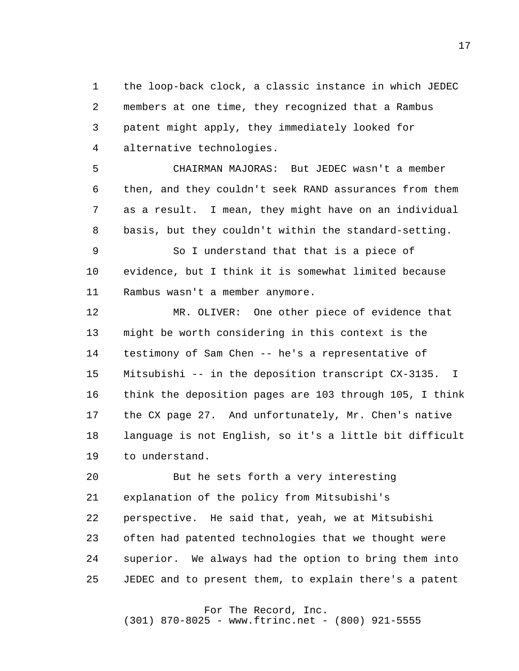1 2 3 4 the loop-back clock, a classic instance in which JEDEC members at one time, they recognized that a Rambus patent might apply, they immediately looked for alternative technologies.

**5**  6 7 8 CHAIRMAN MAJORAS: But JEDEC wasn't a member then, and they couldn't seek RAND assurances from them as a result. I mean, they might have on an individual basis, but they couldn't within the standard-setting.

 9 10 11 So I understand that that is a piece of evidence, but I think it is somewhat limited because Rambus wasn't a member anymore.

> 12 13 14 15 16 17 18 19 MR. OLIVER: One other piece of evidence that might be worth considering in this context is the testimony of Sam Chen -- he's a representative of Mitsubishi -- in the deposition transcript CX-3135. I think the deposition pages are 103 through 105, I think the CX page 27. And unfortunately, Mr. Chen's native language is not English, so it's a little bit difficult to understand.

 20 21 22 23 24 25 But he sets forth a very interesting explanation of the policy from Mitsubishi's perspective. He said that, yeah, we at Mitsubishi often had patented technologies that we thought were superior. We always had the option to bring them into JEDEC and to present them, to explain there's a patent

For The Record, Inc.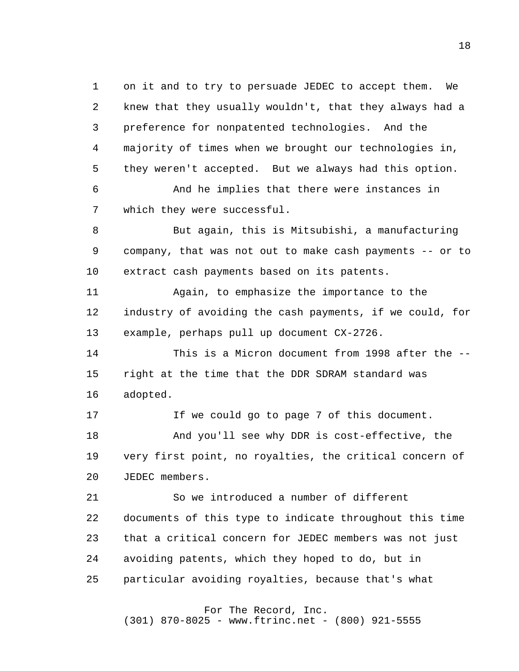1 2 3 4 **5**  6 7 8 9 10 11 12 13 14 15 16 17 18 19 20 21 22 23 24 25 on it and to try to persuade JEDEC to accept them. We knew that they usually wouldn't, that they always had a preference for nonpatented technologies. And the majority of times when we brought our technologies in, they weren't accepted. But we always had this option. And he implies that there were instances in which they were successful. But again, this is Mitsubishi, a manufacturing company, that was not out to make cash payments -- or to extract cash payments based on its patents. Again, to emphasize the importance to the industry of avoiding the cash payments, if we could, for example, perhaps pull up document CX-2726. This is a Micron document from 1998 after the -right at the time that the DDR SDRAM standard was adopted. If we could go to page 7 of this document. And you'll see why DDR is cost-effective, the very first point, no royalties, the critical concern of JEDEC members. So we introduced a number of different documents of this type to indicate throughout this time that a critical concern for JEDEC members was not just avoiding patents, which they hoped to do, but in particular avoiding royalties, because that's what

> For The Record, Inc. (301) 870-8025 - www.ftrinc.net - (800) 921-5555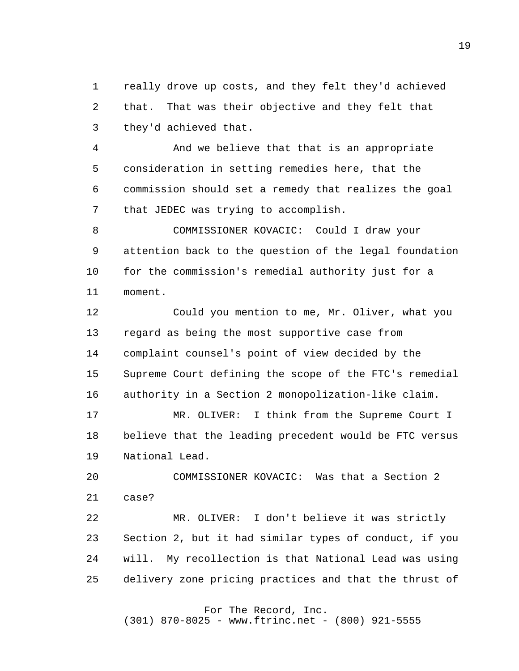1 2 3 really drove up costs, and they felt they'd achieved that. That was their objective and they felt that they'd achieved that.

 4 **5**  6 7 And we believe that that is an appropriate consideration in setting remedies here, that the commission should set a remedy that realizes the goal that JEDEC was trying to accomplish.

 8 9 10 11 COMMISSIONER KOVACIC: Could I draw your attention back to the question of the legal foundation for the commission's remedial authority just for a moment.

> 12 13 14 15 16 Could you mention to me, Mr. Oliver, what you regard as being the most supportive case from complaint counsel's point of view decided by the Supreme Court defining the scope of the FTC's remedial authority in a Section 2 monopolization-like claim.

> 17 18 19 MR. OLIVER: I think from the Supreme Court I believe that the leading precedent would be FTC versus National Lead.

 20 21 COMMISSIONER KOVACIC: Was that a Section 2 case?

 22 23 24 25 MR. OLIVER: I don't believe it was strictly Section 2, but it had similar types of conduct, if you will. My recollection is that National Lead was using delivery zone pricing practices and that the thrust of

## For The Record, Inc.

(301) 870-8025 - www.ftrinc.net - (800) 921-5555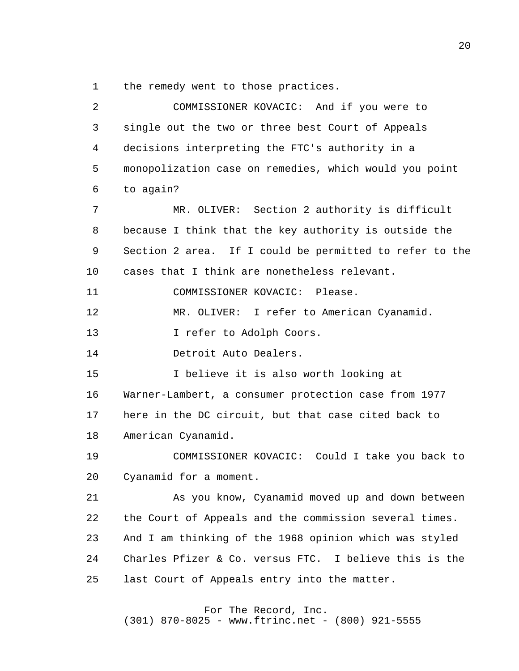1 the remedy went to those practices.

| $\overline{2}$ | COMMISSIONER KOVACIC: And if you were to                |
|----------------|---------------------------------------------------------|
| 3              | single out the two or three best Court of Appeals       |
| 4              | decisions interpreting the FTC's authority in a         |
| 5              | monopolization case on remedies, which would you point  |
| 6              | to again?                                               |
| 7              | Section 2 authority is difficult<br>MR. OLIVER:         |
| 8              | because I think that the key authority is outside the   |
| 9              | Section 2 area. If I could be permitted to refer to the |
| 10             | cases that I think are nonetheless relevant.            |
| 11             | COMMISSIONER KOVACIC: Please.                           |
| 12             | MR. OLIVER: I refer to American Cyanamid.               |
| 13             | I refer to Adolph Coors.                                |
| 14             | Detroit Auto Dealers.                                   |
| 15             | I believe it is also worth looking at                   |
| 16             | Warner-Lambert, a consumer protection case from 1977    |
| 17             | here in the DC circuit, but that case cited back to     |
| 18             | American Cyanamid.                                      |
| 19             | COMMISSIONER KOVACIC: Could I take you back to          |
| 20             | Cyanamid for a moment.                                  |
| 21             | As you know, Cyanamid moved up and down between         |
| 22             | the Court of Appeals and the commission several times.  |
| 23             | And I am thinking of the 1968 opinion which was styled  |
| 24             | Charles Pfizer & Co. versus FTC. I believe this is the  |
| 25             | last Court of Appeals entry into the matter.            |
|                |                                                         |

## For The Record, Inc.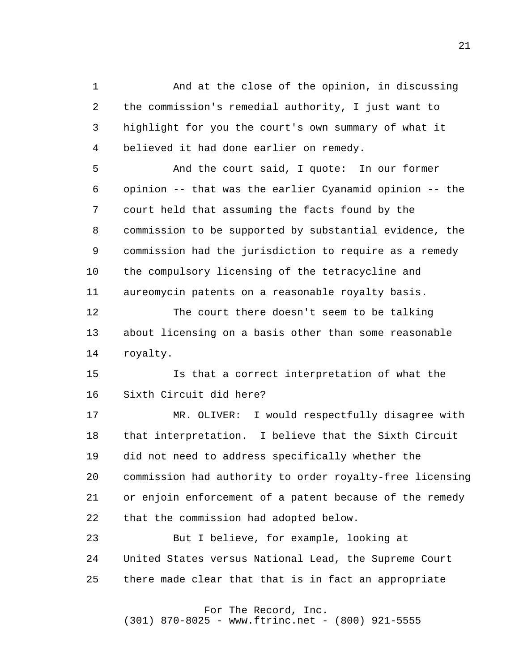1 2 3 4 And at the close of the opinion, in discussing the commission's remedial authority, I just want to highlight for you the court's own summary of what it believed it had done earlier on remedy.

**5**  6 7 8 9 10 11 And the court said, I quote: In our former opinion -- that was the earlier Cyanamid opinion -- the court held that assuming the facts found by the commission to be supported by substantial evidence, the commission had the jurisdiction to require as a remedy the compulsory licensing of the tetracycline and aureomycin patents on a reasonable royalty basis.

> 12 13 14 The court there doesn't seem to be talking about licensing on a basis other than some reasonable royalty.

 15 16 Is that a correct interpretation of what the Sixth Circuit did here?

 17 18 19 20 21 22 MR. OLIVER: I would respectfully disagree with that interpretation. I believe that the Sixth Circuit did not need to address specifically whether the commission had authority to order royalty-free licensing or enjoin enforcement of a patent because of the remedy that the commission had adopted below.

 23 24 25 But I believe, for example, looking at United States versus National Lead, the Supreme Court there made clear that that is in fact an appropriate

For The Record, Inc.

(301) 870-8025 - www.ftrinc.net - (800) 921-5555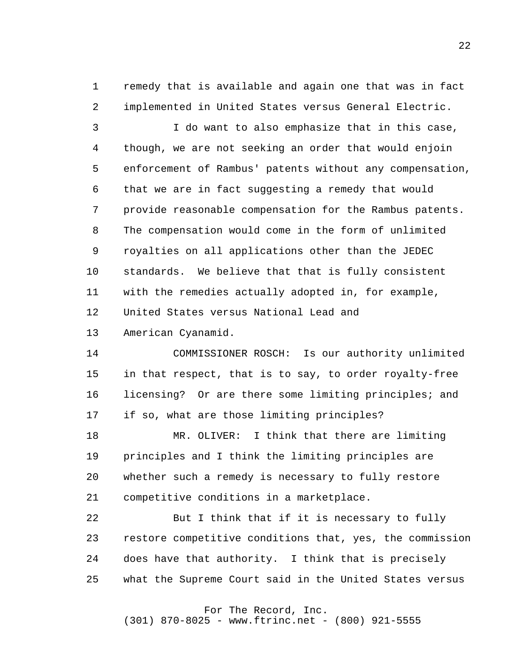1 2 remedy that is available and again one that was in fact implemented in United States versus General Electric.

 3 4 **5**  6 7 8 9 10 11 12 I do want to also emphasize that in this case, though, we are not seeking an order that would enjoin enforcement of Rambus' patents without any compensation, that we are in fact suggesting a remedy that would provide reasonable compensation for the Rambus patents. The compensation would come in the form of unlimited royalties on all applications other than the JEDEC standards. We believe that that is fully consistent with the remedies actually adopted in, for example, United States versus National Lead and

> 13 American Cyanamid.

 14 15 16 17 COMMISSIONER ROSCH: Is our authority unlimited in that respect, that is to say, to order royalty-free licensing? Or are there some limiting principles; and if so, what are those limiting principles?

 18 19 20 21 MR. OLIVER: I think that there are limiting principles and I think the limiting principles are whether such a remedy is necessary to fully restore competitive conditions in a marketplace.

 22 23 24 25 But I think that if it is necessary to fully restore competitive conditions that, yes, the commission does have that authority. I think that is precisely what the Supreme Court said in the United States versus

For The Record, Inc.

(301) 870-8025 - www.ftrinc.net - (800) 921-5555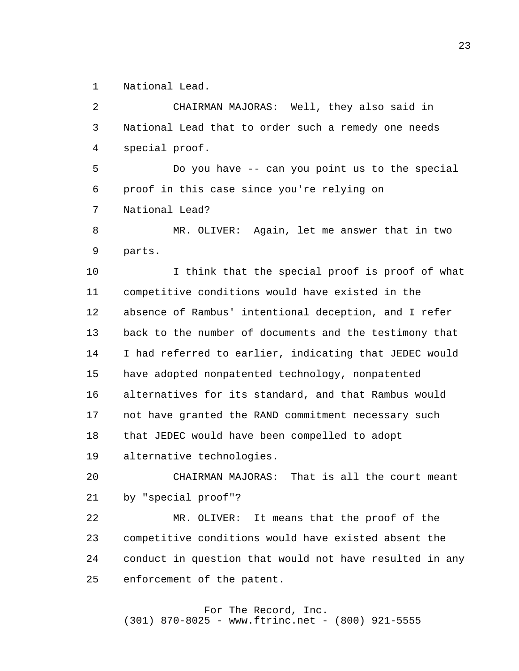1 National Lead.

 2 3 4 **5**  6 7 8 9 10 11 12 13 14 15 16 17 18 19 20 21 22 23 CHAIRMAN MAJORAS: Well, they also said in National Lead that to order such a remedy one needs special proof. Do you have -- can you point us to the special proof in this case since you're relying on National Lead? MR. OLIVER: Again, let me answer that in two parts. I think that the special proof is proof of what competitive conditions would have existed in the absence of Rambus' intentional deception, and I refer back to the number of documents and the testimony that I had referred to earlier, indicating that JEDEC would have adopted nonpatented technology, nonpatented alternatives for its standard, and that Rambus would not have granted the RAND commitment necessary such that JEDEC would have been compelled to adopt alternative technologies. CHAIRMAN MAJORAS: That is all the court meant by "special proof"? MR. OLIVER: It means that the proof of the competitive conditions would have existed absent the

> 24 25 conduct in question that would not have resulted in any enforcement of the patent.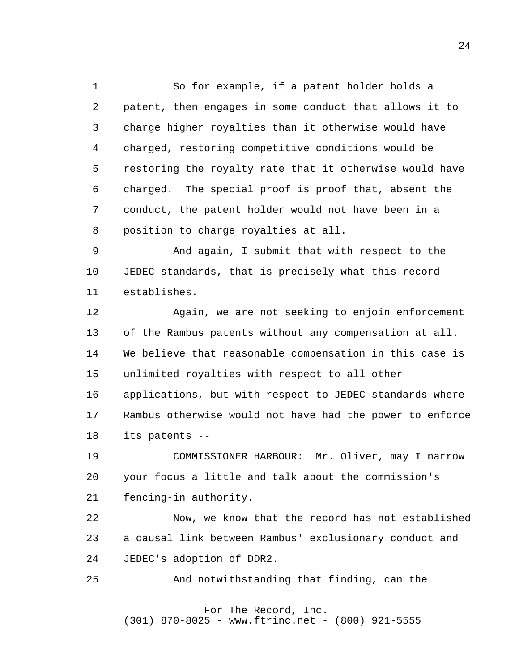1 2 3 4 **5**  6 7 8 So for example, if a patent holder holds a patent, then engages in some conduct that allows it to charge higher royalties than it otherwise would have charged, restoring competitive conditions would be restoring the royalty rate that it otherwise would have charged. The special proof is proof that, absent the conduct, the patent holder would not have been in a position to charge royalties at all.

 9 10 11 And again, I submit that with respect to the JEDEC standards, that is precisely what this record establishes.

> 12 13 14 15 16 17 18 Again, we are not seeking to enjoin enforcement of the Rambus patents without any compensation at all. We believe that reasonable compensation in this case is unlimited royalties with respect to all other applications, but with respect to JEDEC standards where Rambus otherwise would not have had the power to enforce its patents -

 19 20 21 COMMISSIONER HARBOUR: Mr. Oliver, may I narrow your focus a little and talk about the commission's fencing-in authority.

 22 23 24 Now, we know that the record has not established a causal link between Rambus' exclusionary conduct and JEDEC's adoption of DDR2.

 25 And notwithstanding that finding, can the

#### For The Record, Inc. (301) 870-8025 - www.ftrinc.net - (800) 921-5555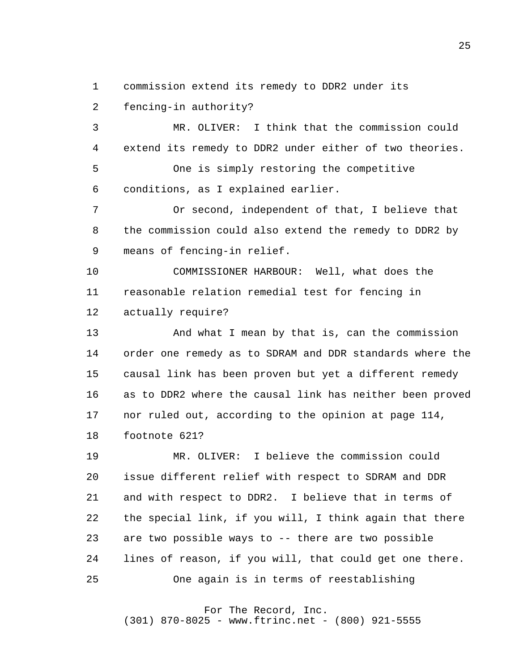1 commission extend its remedy to DDR2 under its

 2 fencing-in authority?

 3 4 **5**  6 MR. OLIVER: I think that the commission could extend its remedy to DDR2 under either of two theories. One is simply restoring the competitive conditions, as I explained earlier.

 7 8 9 Or second, independent of that, I believe that the commission could also extend the remedy to DDR2 by means of fencing-in relief.

> 10 11 12 COMMISSIONER HARBOUR: Well, what does the reasonable relation remedial test for fencing in actually require?

 13 14 15 16 17 18 And what I mean by that is, can the commission order one remedy as to SDRAM and DDR standards where the causal link has been proven but yet a different remedy as to DDR2 where the causal link has neither been proved nor ruled out, according to the opinion at page 114, footnote 621?

 19 20 21 22 23 24 25 MR. OLIVER: I believe the commission could issue different relief with respect to SDRAM and DDR and with respect to DDR2. I believe that in terms of the special link, if you will, I think again that there are two possible ways to -- there are two possible lines of reason, if you will, that could get one there. One again is in terms of reestablishing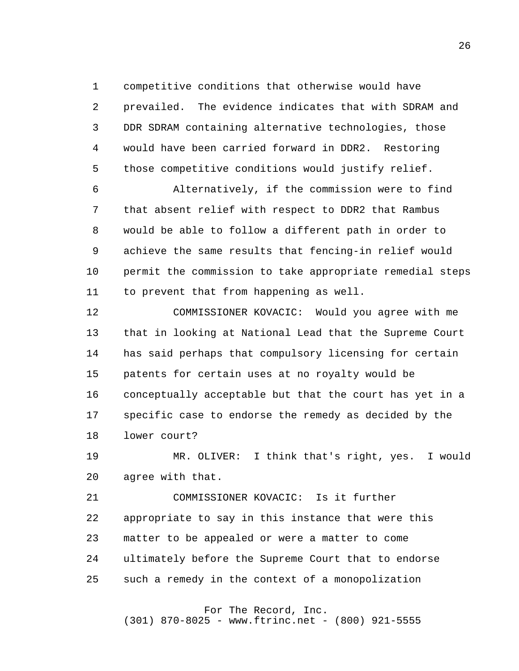1 competitive conditions that otherwise would have

 2 3 4 **5** prevailed. The evidence indicates that with SDRAM and DDR SDRAM containing alternative technologies, those would have been carried forward in DDR2. Restoring those competitive conditions would justify relief.

 6 7 8 9 10 11 Alternatively, if the commission were to find that absent relief with respect to DDR2 that Rambus would be able to follow a different path in order to achieve the same results that fencing-in relief would permit the commission to take appropriate remedial steps to prevent that from happening as well.

> 12 13 14 15 16 17 18 COMMISSIONER KOVACIC: Would you agree with me that in looking at National Lead that the Supreme Court has said perhaps that compulsory licensing for certain patents for certain uses at no royalty would be conceptually acceptable but that the court has yet in a specific case to endorse the remedy as decided by the lower court?

 19 20 MR. OLIVER: I think that's right, yes. I would agree with that.

 21 22 23 24 25 COMMISSIONER KOVACIC: Is it further appropriate to say in this instance that were this matter to be appealed or were a matter to come ultimately before the Supreme Court that to endorse such a remedy in the context of a monopolization

For The Record, Inc.

(301) 870-8025 - www.ftrinc.net - (800) 921-5555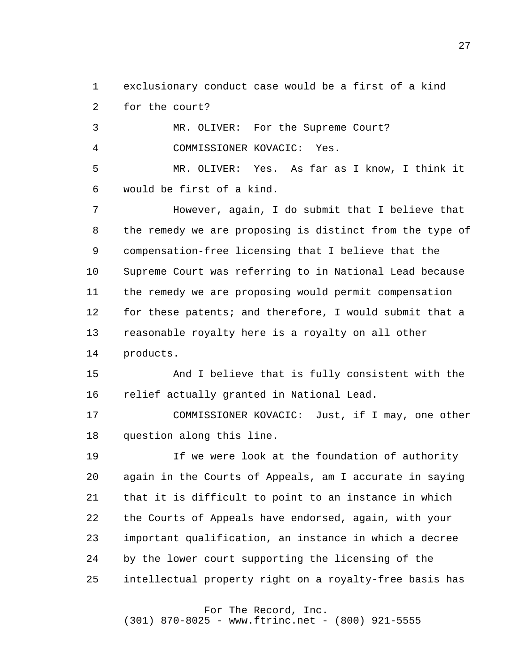1 2 exclusionary conduct case would be a first of a kind for the court?

 3 4 MR. OLIVER: For the Supreme Court? COMMISSIONER KOVACIC: Yes.

**5**  6 MR. OLIVER: Yes. As far as I know, I think it would be first of a kind.

 7 8 9 10 11 12 13 14 However, again, I do submit that I believe that the remedy we are proposing is distinct from the type of compensation-free licensing that I believe that the Supreme Court was referring to in National Lead because the remedy we are proposing would permit compensation for these patents; and therefore, I would submit that a reasonable royalty here is a royalty on all other products.

> 15 16 And I believe that is fully consistent with the relief actually granted in National Lead.

 17 18 COMMISSIONER KOVACIC: Just, if I may, one other question along this line.

 19 20 21 22 23 24 25 If we were look at the foundation of authority again in the Courts of Appeals, am I accurate in saying that it is difficult to point to an instance in which the Courts of Appeals have endorsed, again, with your important qualification, an instance in which a decree by the lower court supporting the licensing of the intellectual property right on a royalty-free basis has

For The Record, Inc.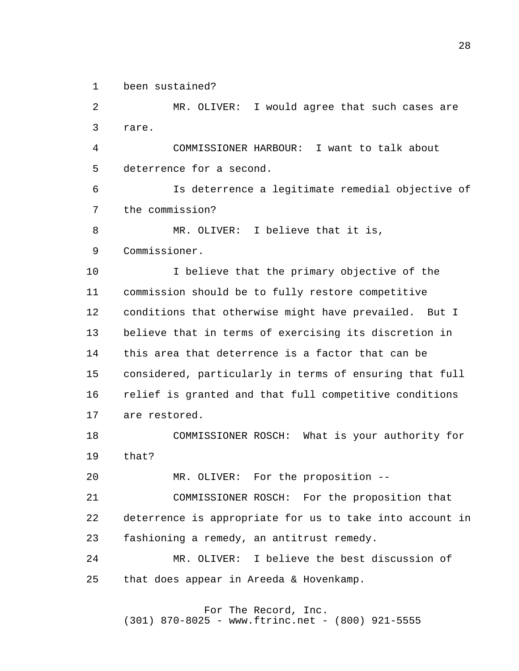1 been sustained?

 2 3 4 **5**  6 7 8 9 10 11 12 13 14 15 16 17 18 19 20 21 22 23 24 25 MR. OLIVER: I would agree that such cases are rare. COMMISSIONER HARBOUR: I want to talk about deterrence for a second. Is deterrence a legitimate remedial objective of the commission? MR. OLIVER: I believe that it is, Commissioner. I believe that the primary objective of the commission should be to fully restore competitive conditions that otherwise might have prevailed. But I believe that in terms of exercising its discretion in this area that deterrence is a factor that can be considered, particularly in terms of ensuring that full relief is granted and that full competitive conditions are restored. COMMISSIONER ROSCH: What is your authority for that? MR. OLIVER: For the proposition --COMMISSIONER ROSCH: For the proposition that deterrence is appropriate for us to take into account in fashioning a remedy, an antitrust remedy. MR. OLIVER: I believe the best discussion of that does appear in Areeda & Hovenkamp.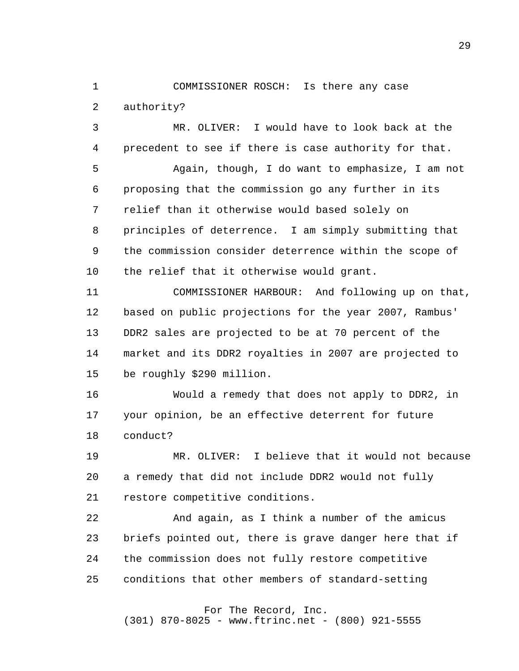1 2 COMMISSIONER ROSCH: Is there any case authority?

 3 4 MR. OLIVER: I would have to look back at the precedent to see if there is case authority for that.

**5**  6 7 8 9 10 Again, though, I do want to emphasize, I am not proposing that the commission go any further in its relief than it otherwise would based solely on principles of deterrence. I am simply submitting that the commission consider deterrence within the scope of the relief that it otherwise would grant.

> 11 12 13 14 15 COMMISSIONER HARBOUR: And following up on that, based on public projections for the year 2007, Rambus' DDR2 sales are projected to be at 70 percent of the market and its DDR2 royalties in 2007 are projected to be roughly \$290 million.

 16 17 18 Would a remedy that does not apply to DDR2, in your opinion, be an effective deterrent for future conduct?

 19 20 21 MR. OLIVER: I believe that it would not because a remedy that did not include DDR2 would not fully restore competitive conditions.

 22 23 24 25 And again, as I think a number of the amicus briefs pointed out, there is grave danger here that if the commission does not fully restore competitive conditions that other members of standard-setting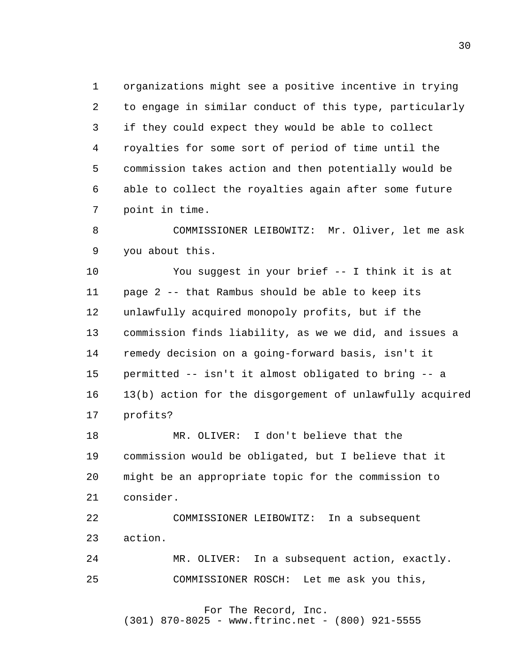1 2 3 4 **5**  6 7 organizations might see a positive incentive in trying to engage in similar conduct of this type, particularly if they could expect they would be able to collect royalties for some sort of period of time until the commission takes action and then potentially would be able to collect the royalties again after some future point in time.

 8 9 COMMISSIONER LEIBOWITZ: Mr. Oliver, let me ask you about this.

> 10 11 12 13 14 15 16 17 You suggest in your brief -- I think it is at page 2 -- that Rambus should be able to keep its unlawfully acquired monopoly profits, but if the commission finds liability, as we we did, and issues a remedy decision on a going-forward basis, isn't it permitted -- isn't it almost obligated to bring -- a 13(b) action for the disgorgement of unlawfully acquired profits?

 18 19 20 21 MR. OLIVER: I don't believe that the commission would be obligated, but I believe that it might be an appropriate topic for the commission to consider.

 22 23 COMMISSIONER LEIBOWITZ: In a subsequent action.

 24 25 MR. OLIVER: In a subsequent action, exactly. COMMISSIONER ROSCH: Let me ask you this,

> For The Record, Inc. (301) 870-8025 - www.ftrinc.net - (800) 921-5555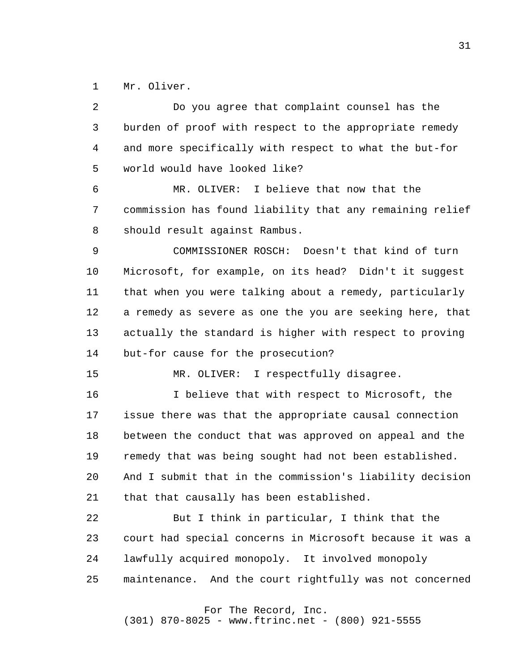1 Mr. Oliver.

 2 3 4 **5**  6 7 8 9 10 11 12 13 14 15 16 17 18 19 20 21 22 23 24 25 Do you agree that complaint counsel has the burden of proof with respect to the appropriate remedy and more specifically with respect to what the but-for world would have looked like? MR. OLIVER: I believe that now that the commission has found liability that any remaining relief should result against Rambus. COMMISSIONER ROSCH: Doesn't that kind of turn Microsoft, for example, on its head? Didn't it suggest that when you were talking about a remedy, particularly a remedy as severe as one the you are seeking here, that actually the standard is higher with respect to proving but-for cause for the prosecution? MR. OLIVER: I respectfully disagree. I believe that with respect to Microsoft, the issue there was that the appropriate causal connection between the conduct that was approved on appeal and the remedy that was being sought had not been established. And I submit that in the commission's liability decision that that causally has been established. But I think in particular, I think that the court had special concerns in Microsoft because it was a lawfully acquired monopoly. It involved monopoly maintenance. And the court rightfully was not concerned

For The Record, Inc.

(301) 870-8025 - www.ftrinc.net - (800) 921-5555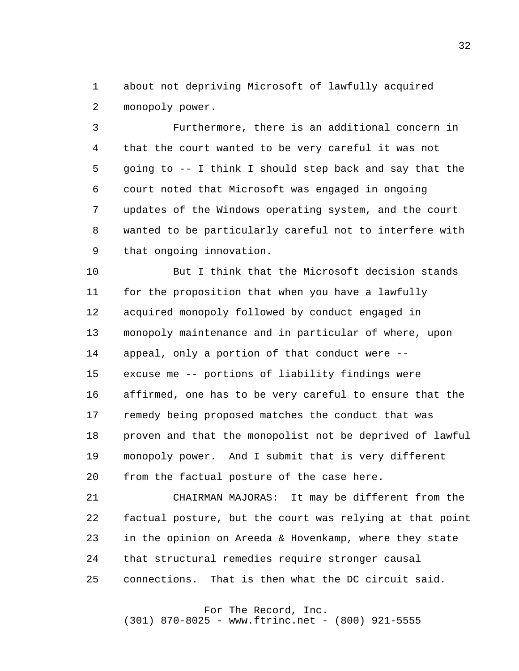1 2 about not depriving Microsoft of lawfully acquired monopoly power.

 3 4 **5**  6 7 8 9 Furthermore, there is an additional concern in that the court wanted to be very careful it was not going to -- I think I should step back and say that the court noted that Microsoft was engaged in ongoing updates of the Windows operating system, and the court wanted to be particularly careful not to interfere with that ongoing innovation.

> 10 11 12 13 14 15 16 17 18 19 20 But I think that the Microsoft decision stands for the proposition that when you have a lawfully acquired monopoly followed by conduct engaged in monopoly maintenance and in particular of where, upon appeal, only a portion of that conduct were excuse me -- portions of liability findings were affirmed, one has to be very careful to ensure that the remedy being proposed matches the conduct that was proven and that the monopolist not be deprived of lawful monopoly power. And I submit that is very different from the factual posture of the case here.

> 21 22 23 24 25 CHAIRMAN MAJORAS: It may be different from the factual posture, but the court was relying at that point in the opinion on Areeda & Hovenkamp, where they state that structural remedies require stronger causal connections. That is then what the DC circuit said.

### For The Record, Inc.

(301) 870-8025 - www.ftrinc.net - (800) 921-5555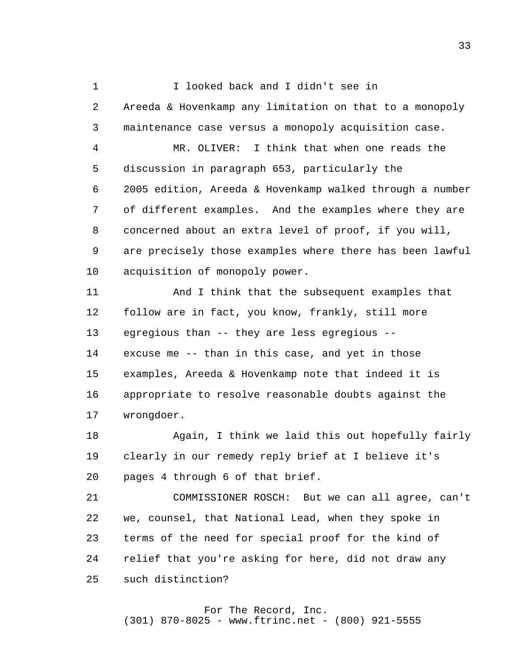1 2 3 4 **5**  6 7 8 9 10 11 12 13 14 I looked back and I didn't see in Areeda & Hovenkamp any limitation on that to a monopoly maintenance case versus a monopoly acquisition case. MR. OLIVER: I think that when one reads the discussion in paragraph 653, particularly the 2005 edition, Areeda & Hovenkamp walked through a number of different examples. And the examples where they are concerned about an extra level of proof, if you will, are precisely those examples where there has been lawful acquisition of monopoly power. And I think that the subsequent examples that follow are in fact, you know, frankly, still more egregious than -- they are less egregious excuse me -- than in this case, and yet in those

> 15 16 17 examples, Areeda & Hovenkamp note that indeed it is appropriate to resolve reasonable doubts against the wrongdoer.

 18 19 20 Again, I think we laid this out hopefully fairly clearly in our remedy reply brief at I believe it's pages 4 through 6 of that brief.

 21 22 23 24 25 COMMISSIONER ROSCH: But we can all agree, can't we, counsel, that National Lead, when they spoke in terms of the need for special proof for the kind of relief that you're asking for here, did not draw any such distinction?

## For The Record, Inc.

(301) 870-8025 - www.ftrinc.net - (800) 921-5555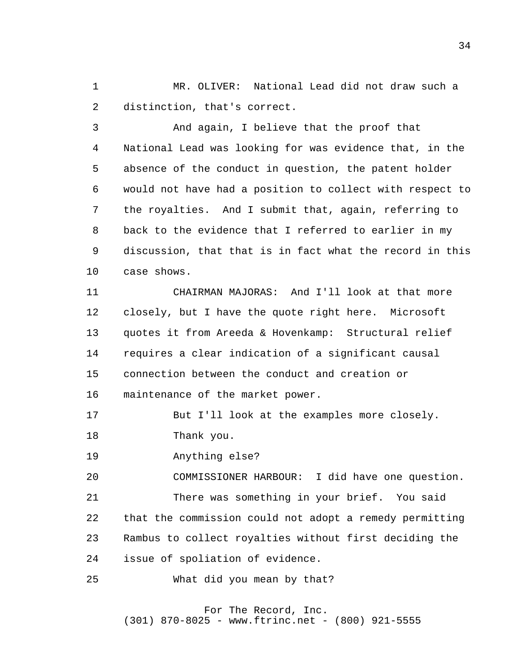1 2 MR. OLIVER: National Lead did not draw such a distinction, that's correct.

 3 4 **5**  6 7 8 9 10 And again, I believe that the proof that National Lead was looking for was evidence that, in the absence of the conduct in question, the patent holder would not have had a position to collect with respect to the royalties. And I submit that, again, referring to back to the evidence that I referred to earlier in my discussion, that that is in fact what the record in this case shows.

> 11 12 13 14 15 16 CHAIRMAN MAJORAS: And I'll look at that more closely, but I have the quote right here. Microsoft quotes it from Areeda & Hovenkamp: Structural relief requires a clear indication of a significant causal connection between the conduct and creation or maintenance of the market power.

 17 18 But I'll look at the examples more closely. Thank you.

 19 Anything else?

 20 21 22 23 24 COMMISSIONER HARBOUR: I did have one question. There was something in your brief. You said that the commission could not adopt a remedy permitting Rambus to collect royalties without first deciding the issue of spoliation of evidence.

 25 What did you mean by that?

> For The Record, Inc. (301) 870-8025 - www.ftrinc.net - (800) 921-5555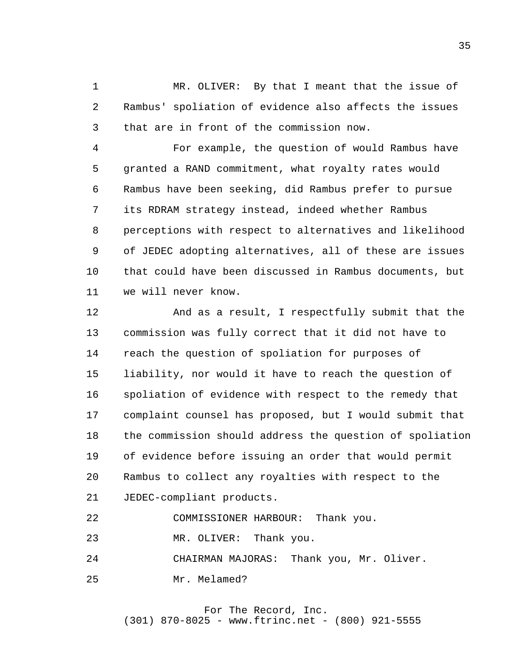1 2 3 MR. OLIVER: By that I meant that the issue of Rambus' spoliation of evidence also affects the issues that are in front of the commission now.

 4 **5**  6 7 8 9 10 11 For example, the question of would Rambus have granted a RAND commitment, what royalty rates would Rambus have been seeking, did Rambus prefer to pursue its RDRAM strategy instead, indeed whether Rambus perceptions with respect to alternatives and likelihood of JEDEC adopting alternatives, all of these are issues that could have been discussed in Rambus documents, but we will never know.

> 12 13 14 15 16 17 18 19 20 21 And as a result, I respectfully submit that the commission was fully correct that it did not have to reach the question of spoliation for purposes of liability, nor would it have to reach the question of spoliation of evidence with respect to the remedy that complaint counsel has proposed, but I would submit that the commission should address the question of spoliation of evidence before issuing an order that would permit Rambus to collect any royalties with respect to the JEDEC-compliant products.

 22 COMMISSIONER HARBOUR: Thank you.

 23 MR. OLIVER: Thank you.

 24 CHAIRMAN MAJORAS: Thank you, Mr. Oliver.

 25 Mr. Melamed?

> For The Record, Inc. (301) 870-8025 - www.ftrinc.net - (800) 921-5555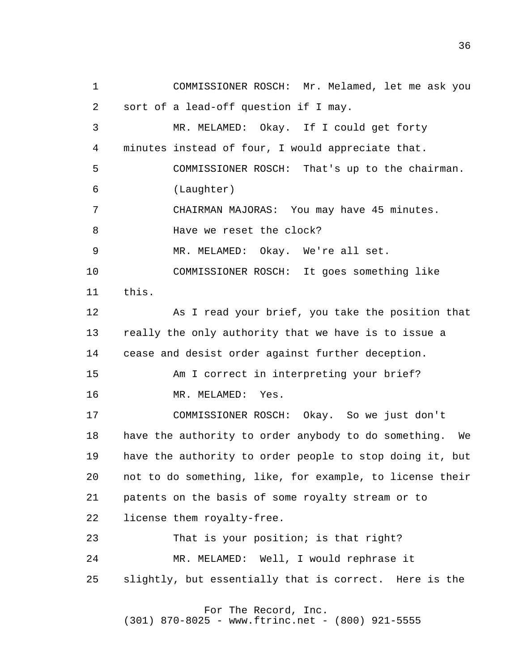1 2 3 4 **5**  6 7 8 9 10 11 12 13 14 15 16 17 18 19 20 21 22 23 24 25 COMMISSIONER ROSCH: Mr. Melamed, let me ask you sort of a lead-off question if I may. MR. MELAMED: Okay. If I could get forty minutes instead of four, I would appreciate that. COMMISSIONER ROSCH: That's up to the chairman. (Laughter) CHAIRMAN MAJORAS: You may have 45 minutes. Have we reset the clock? MR. MELAMED: Okay. We're all set. COMMISSIONER ROSCH: It goes something like this. As I read your brief, you take the position that really the only authority that we have is to issue a cease and desist order against further deception. Am I correct in interpreting your brief? MR. MELAMED: Yes. COMMISSIONER ROSCH: Okay. So we just don't have the authority to order anybody to do something. We have the authority to order people to stop doing it, but not to do something, like, for example, to license their patents on the basis of some royalty stream or to license them royalty-free. That is your position; is that right? MR. MELAMED: Well, I would rephrase it slightly, but essentially that is correct. Here is the For The Record, Inc.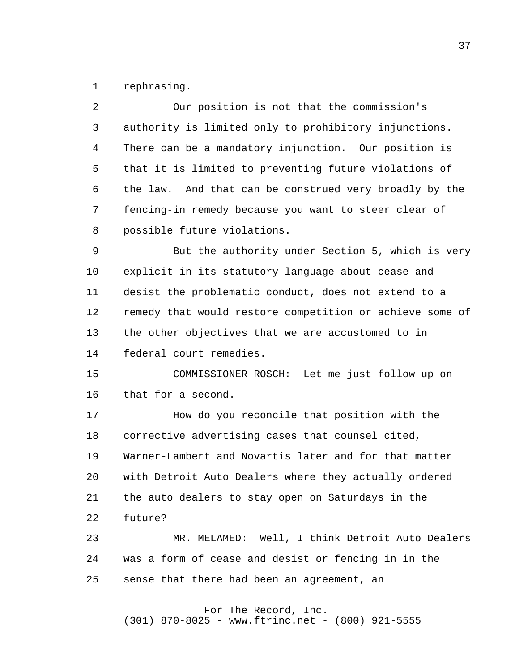1 rephrasing.

| $\overline{2}$ | Our position is not that the commission's                |
|----------------|----------------------------------------------------------|
| 3              | authority is limited only to prohibitory injunctions.    |
| 4              | There can be a mandatory injunction. Our position is     |
| 5              | that it is limited to preventing future violations of    |
| 6              | the law. And that can be construed very broadly by the   |
| 7              | fencing-in remedy because you want to steer clear of     |
| 8              | possible future violations.                              |
| 9              | But the authority under Section 5, which is very         |
| 10             | explicit in its statutory language about cease and       |
| 11             | desist the problematic conduct, does not extend to a     |
| 12             | remedy that would restore competition or achieve some of |
| 13             | the other objectives that we are accustomed to in        |
| 14             | federal court remedies.                                  |
| 15             | COMMISSIONER ROSCH: Let me just follow up on             |
| 16             | that for a second.                                       |
| 17             | How do you reconcile that position with the              |
| 18             | corrective advertising cases that counsel cited,         |
| 19             | Warner-Lambert and Novartis later and for that matter    |
| 20             | with Detroit Auto Dealers where they actually ordered    |
| 21             | the auto dealers to stay open on Saturdays in the        |
| 22             | future?                                                  |
| 23             | MR. MELAMED: Well, I think Detroit Auto Dealers          |
| 24             | was a form of cease and desist or fencing in in the      |
| 25             | sense that there had been an agreement, an               |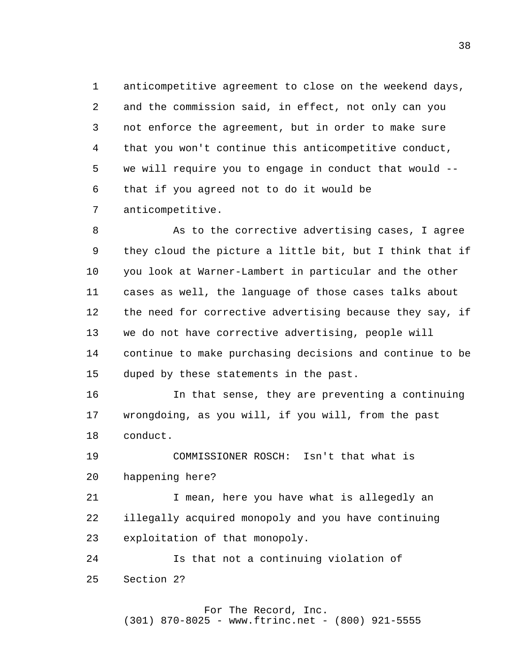1 2 3 4 **5**  6 7 anticompetitive agreement to close on the weekend days, and the commission said, in effect, not only can you not enforce the agreement, but in order to make sure that you won't continue this anticompetitive conduct, we will require you to engage in conduct that would that if you agreed not to do it would be anticompetitive.

 8 9 10 11 12 13 14 15 As to the corrective advertising cases, I agree they cloud the picture a little bit, but I think that if you look at Warner-Lambert in particular and the other cases as well, the language of those cases talks about the need for corrective advertising because they say, if we do not have corrective advertising, people will continue to make purchasing decisions and continue to be duped by these statements in the past.

> 16 17 18 In that sense, they are preventing a continuing wrongdoing, as you will, if you will, from the past conduct.

 19 20 COMMISSIONER ROSCH: Isn't that what is happening here?

 21 22 23 I mean, here you have what is allegedly an illegally acquired monopoly and you have continuing exploitation of that monopoly.

 24 25 Is that not a continuing violation of Section 2?

#### For The Record, Inc. (301) 870-8025 - www.ftrinc.net - (800) 921-5555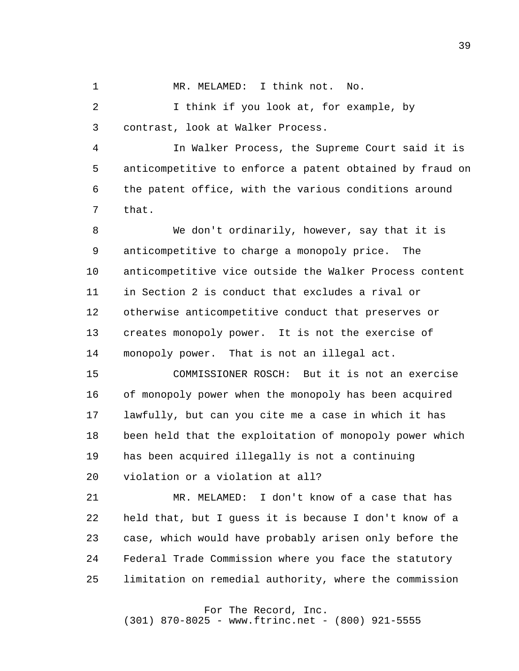1 MR. MELAMED: I think not. No.

 2 3 I think if you look at, for example, by contrast, look at Walker Process.

 4 **5**  6 7 In Walker Process, the Supreme Court said it is anticompetitive to enforce a patent obtained by fraud on the patent office, with the various conditions around that.

 8 9 10 11 12 13 14 We don't ordinarily, however, say that it is anticompetitive to charge a monopoly price. The anticompetitive vice outside the Walker Process content in Section 2 is conduct that excludes a rival or otherwise anticompetitive conduct that preserves or creates monopoly power. It is not the exercise of monopoly power. That is not an illegal act.

> 15 16 17 18 19 20 COMMISSIONER ROSCH: But it is not an exercise of monopoly power when the monopoly has been acquired lawfully, but can you cite me a case in which it has been held that the exploitation of monopoly power which has been acquired illegally is not a continuing violation or a violation at all?

 21 22 23 24 25 MR. MELAMED: I don't know of a case that has held that, but I guess it is because I don't know of a case, which would have probably arisen only before the Federal Trade Commission where you face the statutory limitation on remedial authority, where the commission

For The Record, Inc.

(301) 870-8025 - www.ftrinc.net - (800) 921-5555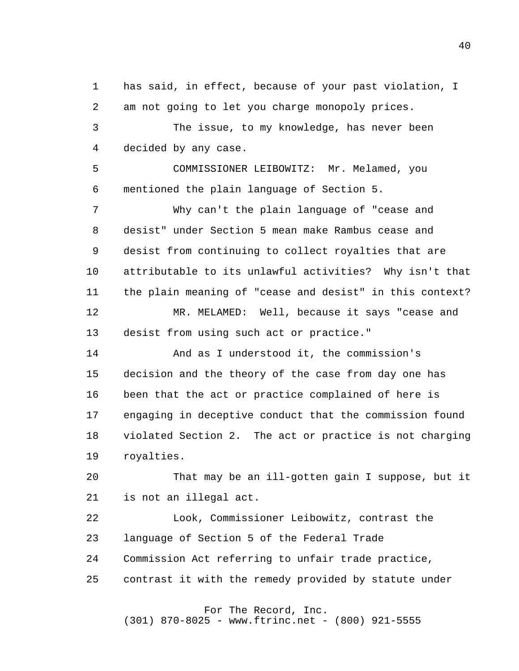1 2 has said, in effect, because of your past violation, I am not going to let you charge monopoly prices.

 3 4 The issue, to my knowledge, has never been decided by any case.

**5**  6 COMMISSIONER LEIBOWITZ: Mr. Melamed, you mentioned the plain language of Section 5.

 7 8 9 10 11 12 13 Why can't the plain language of "cease and desist" under Section 5 mean make Rambus cease and desist from continuing to collect royalties that are attributable to its unlawful activities? Why isn't that the plain meaning of "cease and desist" in this context? MR. MELAMED: Well, because it says "cease and desist from using such act or practice."

> 14 15 16 17 18 19 And as I understood it, the commission's decision and the theory of the case from day one has been that the act or practice complained of here is engaging in deceptive conduct that the commission found violated Section 2. The act or practice is not charging royalties.

> 20 21 That may be an ill-gotten gain I suppose, but it is not an illegal act.

 22 23 24 25 Look, Commissioner Leibowitz, contrast the language of Section 5 of the Federal Trade Commission Act referring to unfair trade practice, contrast it with the remedy provided by statute under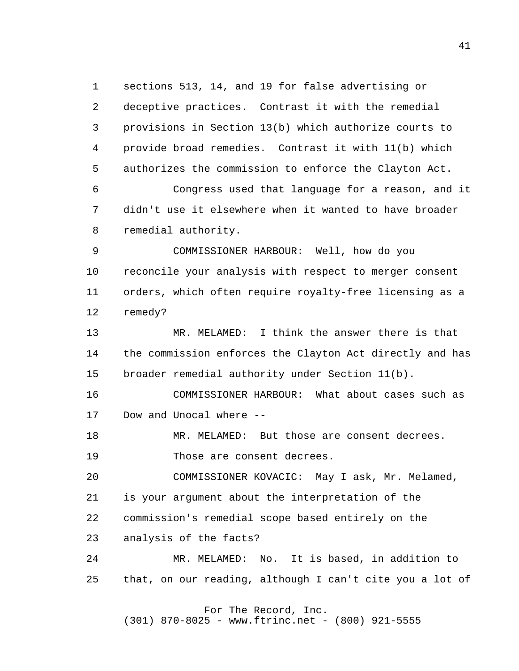1 2 3 4 **5**  6 7 8 9 10 11 12 13 14 15 16 17 18 19 20 21 22 sections 513, 14, and 19 for false advertising or deceptive practices. Contrast it with the remedial provisions in Section 13(b) which authorize courts to provide broad remedies. Contrast it with 11(b) which authorizes the commission to enforce the Clayton Act. Congress used that language for a reason, and it didn't use it elsewhere when it wanted to have broader remedial authority. COMMISSIONER HARBOUR: Well, how do you reconcile your analysis with respect to merger consent orders, which often require royalty-free licensing as a remedy? MR. MELAMED: I think the answer there is that the commission enforces the Clayton Act directly and has broader remedial authority under Section 11(b). COMMISSIONER HARBOUR: What about cases such as Dow and Unocal where - MR. MELAMED: But those are consent decrees. Those are consent decrees. COMMISSIONER KOVACIC: May I ask, Mr. Melamed, is your argument about the interpretation of the commission's remedial scope based entirely on the

> 23 analysis of the facts?

 24 25 MR. MELAMED: No. It is based, in addition to that, on our reading, although I can't cite you a lot of

> For The Record, Inc. (301) 870-8025 - www.ftrinc.net - (800) 921-5555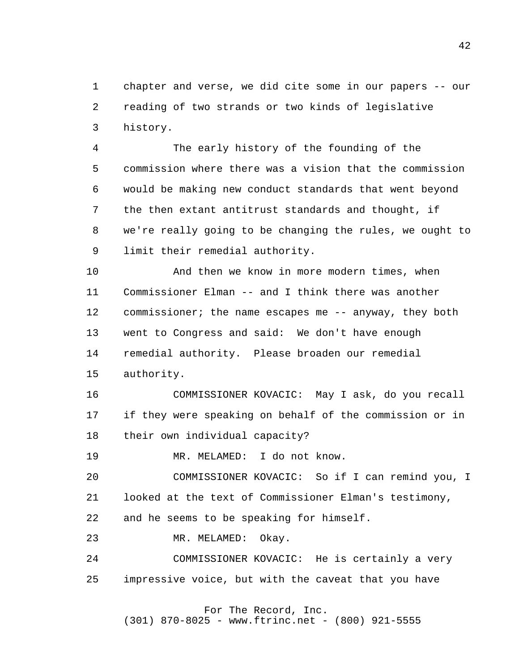1 2 3 chapter and verse, we did cite some in our papers -- our reading of two strands or two kinds of legislative history.

 4 **5**  6 7 8 9 The early history of the founding of the commission where there was a vision that the commission would be making new conduct standards that went beyond the then extant antitrust standards and thought, if we're really going to be changing the rules, we ought to limit their remedial authority.

> 10 11 12 13 14 15 And then we know in more modern times, when Commissioner Elman -- and I think there was another commissioner; the name escapes me -- anyway, they both went to Congress and said: We don't have enough remedial authority. Please broaden our remedial authority.

 16 17 18 COMMISSIONER KOVACIC: May I ask, do you recall if they were speaking on behalf of the commission or in their own individual capacity?

 19 MR. MELAMED: I do not know.

 20 21 COMMISSIONER KOVACIC: So if I can remind you, I looked at the text of Commissioner Elman's testimony,

 22 and he seems to be speaking for himself.

 23 MR. MELAMED: Okay.

 24 25 COMMISSIONER KOVACIC: He is certainly a very impressive voice, but with the caveat that you have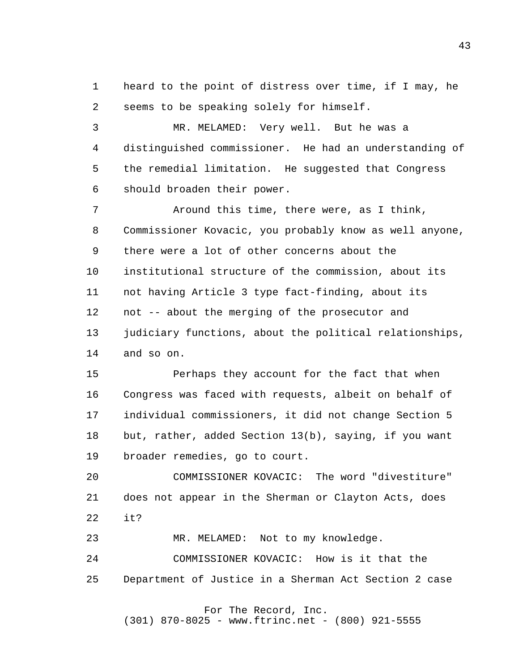1 2 heard to the point of distress over time, if I may, he seems to be speaking solely for himself.

 3 4 **5**  6 MR. MELAMED: Very well. But he was a distinguished commissioner. He had an understanding of the remedial limitation. He suggested that Congress should broaden their power.

 7 8 9 10 11 12 13 14 Around this time, there were, as I think, Commissioner Kovacic, you probably know as well anyone, there were a lot of other concerns about the institutional structure of the commission, about its not having Article 3 type fact-finding, about its not -- about the merging of the prosecutor and judiciary functions, about the political relationships, and so on.

> 15 16 17 18 19 Perhaps they account for the fact that when Congress was faced with requests, albeit on behalf of individual commissioners, it did not change Section 5 but, rather, added Section 13(b), saying, if you want broader remedies, go to court.

> 20 21 22 COMMISSIONER KOVACIC: The word "divestiture" does not appear in the Sherman or Clayton Acts, does it?

 23 MR. MELAMED: Not to my knowledge.

 24 25 COMMISSIONER KOVACIC: How is it that the Department of Justice in a Sherman Act Section 2 case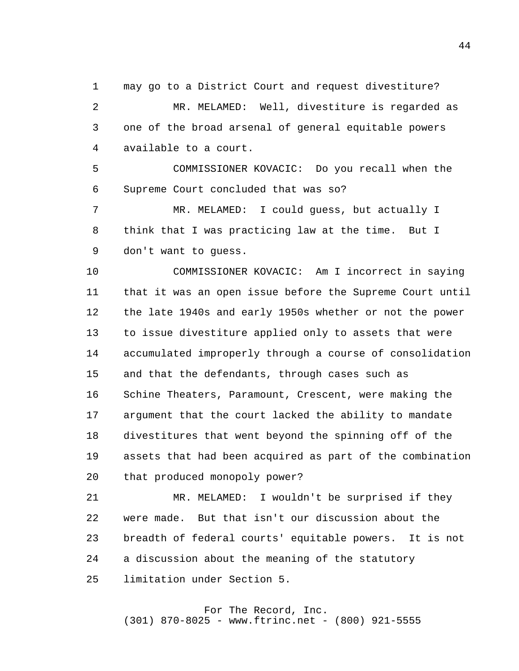1 2 3 4 may go to a District Court and request divestiture? MR. MELAMED: Well, divestiture is regarded as one of the broad arsenal of general equitable powers available to a court.

**5**  6 COMMISSIONER KOVACIC: Do you recall when the Supreme Court concluded that was so?

 7 8 9 MR. MELAMED: I could guess, but actually I think that I was practicing law at the time. But I don't want to guess.

> 10 11 12 13 14 15 16 17 18 19 20 COMMISSIONER KOVACIC: Am I incorrect in saying that it was an open issue before the Supreme Court until the late 1940s and early 1950s whether or not the power to issue divestiture applied only to assets that were accumulated improperly through a course of consolidation and that the defendants, through cases such as Schine Theaters, Paramount, Crescent, were making the argument that the court lacked the ability to mandate divestitures that went beyond the spinning off of the assets that had been acquired as part of the combination that produced monopoly power?

 21 22 23 24 25 MR. MELAMED: I wouldn't be surprised if they were made. But that isn't our discussion about the breadth of federal courts' equitable powers. It is not a discussion about the meaning of the statutory limitation under Section 5.

#### For The Record, Inc. (301) 870-8025 - www.ftrinc.net - (800) 921-5555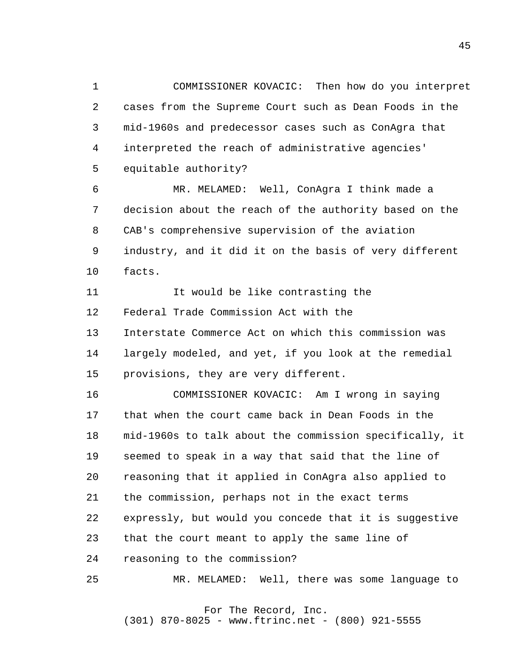1 2 3 4 **5** COMMISSIONER KOVACIC: Then how do you interpret cases from the Supreme Court such as Dean Foods in the mid-1960s and predecessor cases such as ConAgra that interpreted the reach of administrative agencies' equitable authority?

 6 7 8 9 10 MR. MELAMED: Well, ConAgra I think made a decision about the reach of the authority based on the CAB's comprehensive supervision of the aviation industry, and it did it on the basis of very different facts.

> 11 12 13 14 15 It would be like contrasting the Federal Trade Commission Act with the Interstate Commerce Act on which this commission was largely modeled, and yet, if you look at the remedial provisions, they are very different.

 16 17 18 19 20 21 22 23 24 COMMISSIONER KOVACIC: Am I wrong in saying that when the court came back in Dean Foods in the mid-1960s to talk about the commission specifically, it seemed to speak in a way that said that the line of reasoning that it applied in ConAgra also applied to the commission, perhaps not in the exact terms expressly, but would you concede that it is suggestive that the court meant to apply the same line of reasoning to the commission?

 25 MR. MELAMED: Well, there was some language to

> For The Record, Inc. (301) 870-8025 - www.ftrinc.net - (800) 921-5555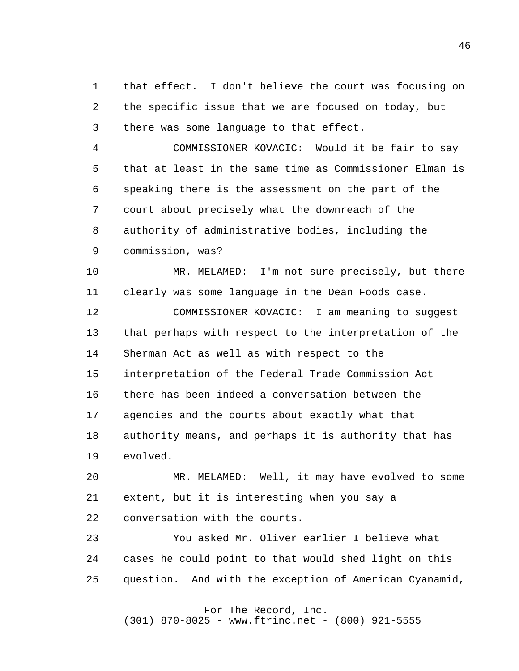1 2 3 that effect. I don't believe the court was focusing on the specific issue that we are focused on today, but there was some language to that effect.

 4 **5**  6 7 8 9 COMMISSIONER KOVACIC: Would it be fair to say that at least in the same time as Commissioner Elman is speaking there is the assessment on the part of the court about precisely what the downreach of the authority of administrative bodies, including the commission, was?

> 10 11 MR. MELAMED: I'm not sure precisely, but there clearly was some language in the Dean Foods case.

 12 13 14 15 16 17 18 19 COMMISSIONER KOVACIC: I am meaning to suggest that perhaps with respect to the interpretation of the Sherman Act as well as with respect to the interpretation of the Federal Trade Commission Act there has been indeed a conversation between the agencies and the courts about exactly what that authority means, and perhaps it is authority that has evolved.

 20 21 22 MR. MELAMED: Well, it may have evolved to some extent, but it is interesting when you say a conversation with the courts.

 23 24 25 You asked Mr. Oliver earlier I believe what cases he could point to that would shed light on this question. And with the exception of American Cyanamid,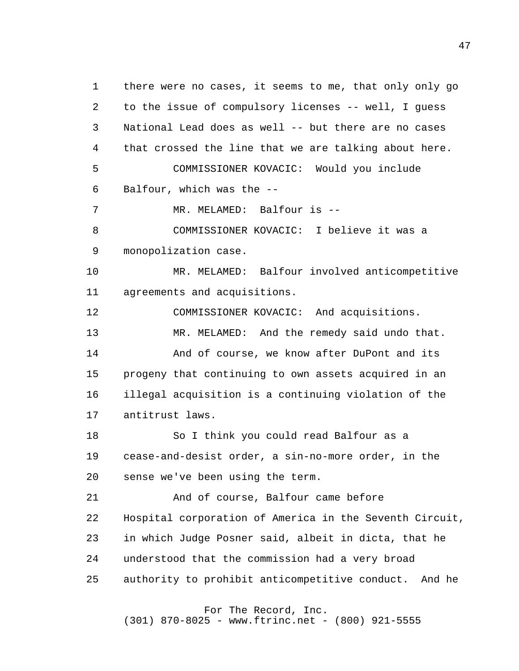1 2 3 4 **5**  6 7 8 9 10 11 12 13 14 15 16 17 18 19 20 21 22 23 24 25 there were no cases, it seems to me, that only only go to the issue of compulsory licenses -- well, I guess National Lead does as well -- but there are no cases that crossed the line that we are talking about here. COMMISSIONER KOVACIC: Would you include Balfour, which was the - MR. MELAMED: Balfour is --COMMISSIONER KOVACIC: I believe it was a monopolization case. MR. MELAMED: Balfour involved anticompetitive agreements and acquisitions. COMMISSIONER KOVACIC: And acquisitions. MR. MELAMED: And the remedy said undo that. And of course, we know after DuPont and its progeny that continuing to own assets acquired in an illegal acquisition is a continuing violation of the antitrust laws. So I think you could read Balfour as a cease-and-desist order, a sin-no-more order, in the sense we've been using the term. And of course, Balfour came before Hospital corporation of America in the Seventh Circuit, in which Judge Posner said, albeit in dicta, that he understood that the commission had a very broad authority to prohibit anticompetitive conduct. And he

For The Record, Inc.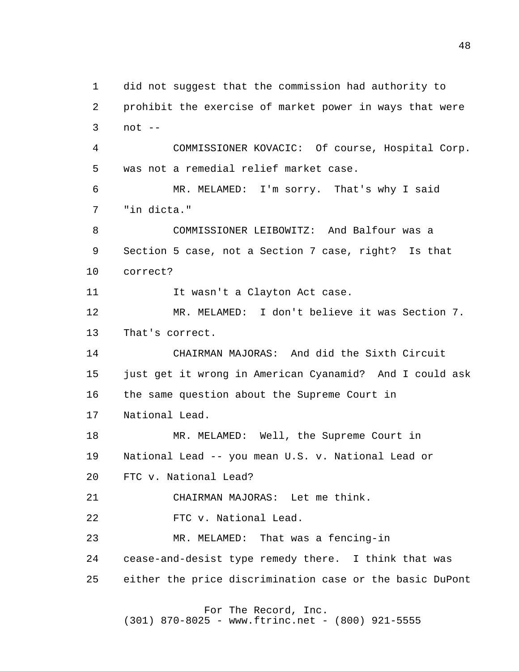1 2 3 4 **5**  6 7 8 9 10 11 12 13 14 15 16 17 18 19 20 21 22 23 24 25 did not suggest that the commission had authority to prohibit the exercise of market power in ways that were  $not --$ COMMISSIONER KOVACIC: Of course, Hospital Corp. was not a remedial relief market case. MR. MELAMED: I'm sorry. That's why I said "in dicta." COMMISSIONER LEIBOWITZ: And Balfour was a Section 5 case, not a Section 7 case, right? Is that correct? It wasn't a Clayton Act case. MR. MELAMED: I don't believe it was Section 7. That's correct. CHAIRMAN MAJORAS: And did the Sixth Circuit just get it wrong in American Cyanamid? And I could ask the same question about the Supreme Court in National Lead. MR. MELAMED: Well, the Supreme Court in National Lead -- you mean U.S. v. National Lead or FTC v. National Lead? CHAIRMAN MAJORAS: Let me think. FTC v. National Lead. MR. MELAMED: That was a fencing-in cease-and-desist type remedy there. I think that was either the price discrimination case or the basic DuPont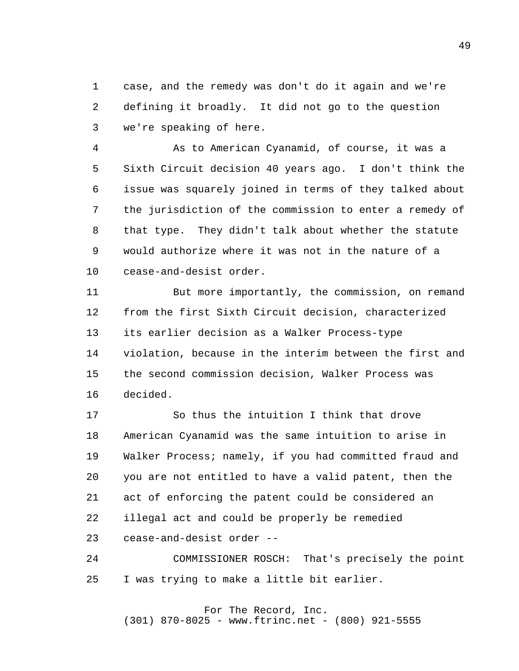1 2 3 case, and the remedy was don't do it again and we're defining it broadly. It did not go to the question we're speaking of here.

 4 **5**  6 7 8 9 10 As to American Cyanamid, of course, it was a Sixth Circuit decision 40 years ago. I don't think the issue was squarely joined in terms of they talked about the jurisdiction of the commission to enter a remedy of that type. They didn't talk about whether the statute would authorize where it was not in the nature of a cease-and-desist order.

> 11 12 13 14 15 16 But more importantly, the commission, on remand from the first Sixth Circuit decision, characterized its earlier decision as a Walker Process-type violation, because in the interim between the first and the second commission decision, Walker Process was decided.

 17 18 19 20 21 22 23 So thus the intuition I think that drove American Cyanamid was the same intuition to arise in Walker Process; namely, if you had committed fraud and you are not entitled to have a valid patent, then the act of enforcing the patent could be considered an illegal act and could be properly be remedied cease-and-desist order -

 24 25 COMMISSIONER ROSCH: That's precisely the point I was trying to make a little bit earlier.

 For The Record, Inc. (301) 870-8025 - www.ftrinc.net - (800) 921-5555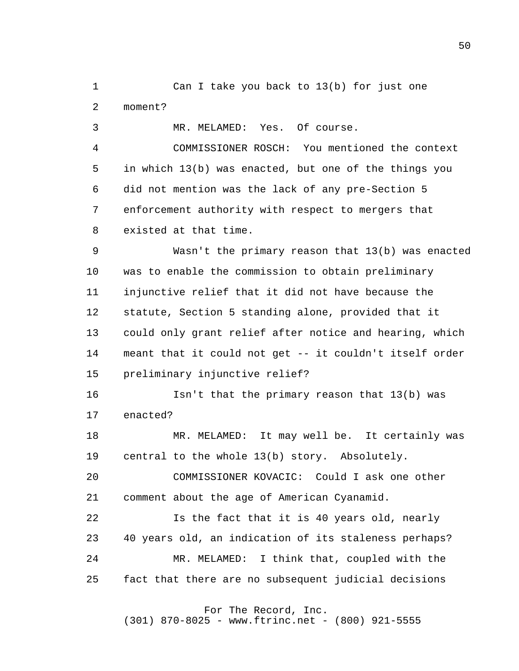1 2 Can I take you back to 13(b) for just one moment?

 3 MR. MELAMED: Yes. Of course.

 4 **5**  6 7 8 COMMISSIONER ROSCH: You mentioned the context in which 13(b) was enacted, but one of the things you did not mention was the lack of any pre-Section 5 enforcement authority with respect to mergers that existed at that time.

 9 10 11 12 13 14 15 Wasn't the primary reason that 13(b) was enacted was to enable the commission to obtain preliminary injunctive relief that it did not have because the statute, Section 5 standing alone, provided that it could only grant relief after notice and hearing, which meant that it could not get -- it couldn't itself order preliminary injunctive relief?

> 16 17 Isn't that the primary reason that 13(b) was enacted?

 18 19 MR. MELAMED: It may well be. It certainly was central to the whole 13(b) story. Absolutely.

 20 21 COMMISSIONER KOVACIC: Could I ask one other comment about the age of American Cyanamid.

 22 23 24 25 Is the fact that it is 40 years old, nearly 40 years old, an indication of its staleness perhaps? MR. MELAMED: I think that, coupled with the fact that there are no subsequent judicial decisions

For The Record, Inc.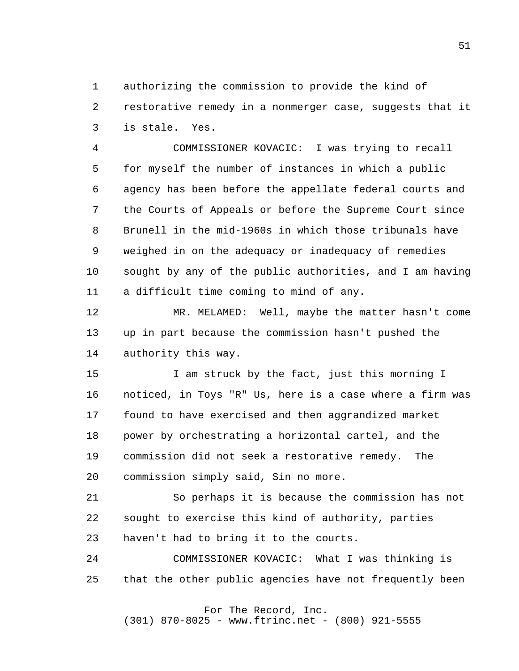1 2 3 authorizing the commission to provide the kind of restorative remedy in a nonmerger case, suggests that it is stale. Yes.

 4 **5**  6 7 8 9 10 11 COMMISSIONER KOVACIC: I was trying to recall for myself the number of instances in which a public agency has been before the appellate federal courts and the Courts of Appeals or before the Supreme Court since Brunell in the mid-1960s in which those tribunals have weighed in on the adequacy or inadequacy of remedies sought by any of the public authorities, and I am having a difficult time coming to mind of any.

> 12 13 14 MR. MELAMED: Well, maybe the matter hasn't come up in part because the commission hasn't pushed the authority this way.

> 15 16 17 18 19 20 I am struck by the fact, just this morning I noticed, in Toys "R" Us, here is a case where a firm was found to have exercised and then aggrandized market power by orchestrating a horizontal cartel, and the commission did not seek a restorative remedy. The commission simply said, Sin no more.

 21 22 23 So perhaps it is because the commission has not sought to exercise this kind of authority, parties haven't had to bring it to the courts.

 24 25 COMMISSIONER KOVACIC: What I was thinking is that the other public agencies have not frequently been

# For The Record, Inc.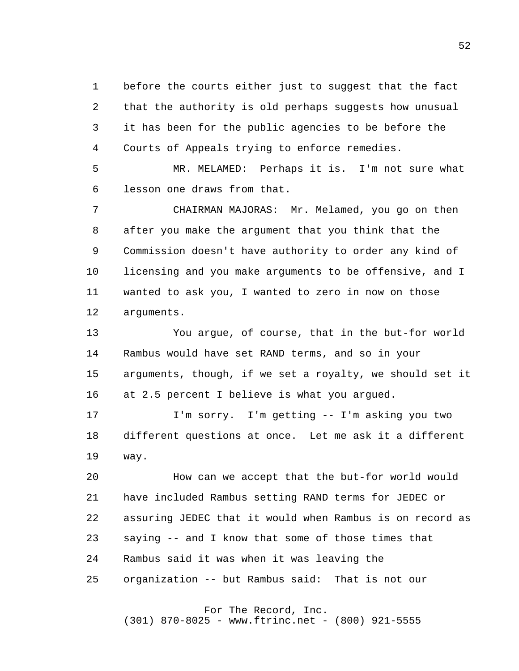1 2 3 4 before the courts either just to suggest that the fact that the authority is old perhaps suggests how unusual it has been for the public agencies to be before the Courts of Appeals trying to enforce remedies.

**5**  6 MR. MELAMED: Perhaps it is. I'm not sure what lesson one draws from that.

 7 8 9 10 11 12 CHAIRMAN MAJORAS: Mr. Melamed, you go on then after you make the argument that you think that the Commission doesn't have authority to order any kind of licensing and you make arguments to be offensive, and I wanted to ask you, I wanted to zero in now on those arguments.

> 13 14 15 16 You argue, of course, that in the but-for world Rambus would have set RAND terms, and so in your arguments, though, if we set a royalty, we should set it at 2.5 percent I believe is what you argued.

 17 18 19 I'm sorry. I'm getting -- I'm asking you two different questions at once. Let me ask it a different way.

 20 21 22 23 24 25 How can we accept that the but-for world would have included Rambus setting RAND terms for JEDEC or assuring JEDEC that it would when Rambus is on record as saying -- and I know that some of those times that Rambus said it was when it was leaving the organization -- but Rambus said: That is not our

## For The Record, Inc.

(301) 870-8025 - www.ftrinc.net - (800) 921-5555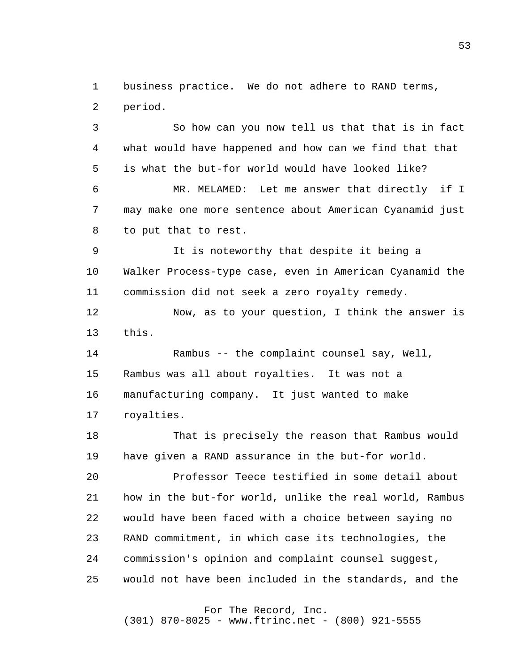1 2 business practice. We do not adhere to RAND terms, period.

 3 4 **5**  6 7 8 So how can you now tell us that that is in fact what would have happened and how can we find that that is what the but-for world would have looked like? MR. MELAMED: Let me answer that directly if I may make one more sentence about American Cyanamid just to put that to rest.

 9 10 11 It is noteworthy that despite it being a Walker Process-type case, even in American Cyanamid the commission did not seek a zero royalty remedy.

> 12 13 Now, as to your question, I think the answer is this.

 14 15 16 17 Rambus -- the complaint counsel say, Well, Rambus was all about royalties. It was not a manufacturing company. It just wanted to make royalties.

 18 19 That is precisely the reason that Rambus would have given a RAND assurance in the but-for world.

 20 21 22 23 24 25 Professor Teece testified in some detail about how in the but-for world, unlike the real world, Rambus would have been faced with a choice between saying no RAND commitment, in which case its technologies, the commission's opinion and complaint counsel suggest, would not have been included in the standards, and the

For The Record, Inc.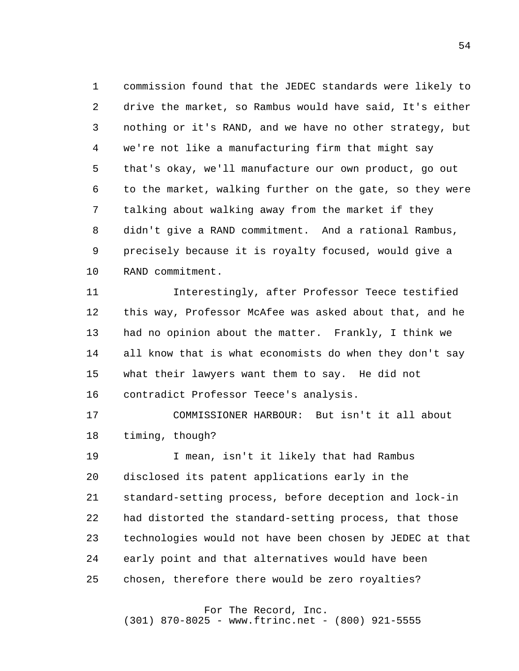1 2 3 4 **5**  6 7 8 9 10 commission found that the JEDEC standards were likely to drive the market, so Rambus would have said, It's either nothing or it's RAND, and we have no other strategy, but we're not like a manufacturing firm that might say that's okay, we'll manufacture our own product, go out to the market, walking further on the gate, so they were talking about walking away from the market if they didn't give a RAND commitment. And a rational Rambus, precisely because it is royalty focused, would give a RAND commitment.

> 11 12 13 14 15 16 Interestingly, after Professor Teece testified this way, Professor McAfee was asked about that, and he had no opinion about the matter. Frankly, I think we all know that is what economists do when they don't say what their lawyers want them to say. He did not contradict Professor Teece's analysis.

 17 18 COMMISSIONER HARBOUR: But isn't it all about timing, though?

 19 20 21 22 23 24 25 I mean, isn't it likely that had Rambus disclosed its patent applications early in the standard-setting process, before deception and lock-in had distorted the standard-setting process, that those technologies would not have been chosen by JEDEC at that early point and that alternatives would have been chosen, therefore there would be zero royalties?

## For The Record, Inc.

(301) 870-8025 - www.ftrinc.net - (800) 921-5555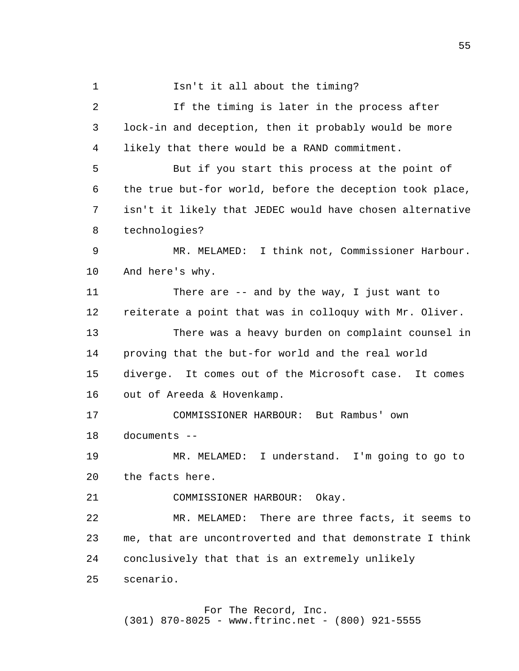1 2 3 4 **5**  6 7 8 9 10 11 12 13 14 15 16 17 18 19 20 21 22 23 24 Isn't it all about the timing? If the timing is later in the process after lock-in and deception, then it probably would be more likely that there would be a RAND commitment. But if you start this process at the point of the true but-for world, before the deception took place, isn't it likely that JEDEC would have chosen alternative technologies? MR. MELAMED: I think not, Commissioner Harbour. And here's why. There are -- and by the way, I just want to reiterate a point that was in colloquy with Mr. Oliver. There was a heavy burden on complaint counsel in proving that the but-for world and the real world diverge. It comes out of the Microsoft case. It comes out of Areeda & Hovenkamp. COMMISSIONER HARBOUR: But Rambus' own documents - MR. MELAMED: I understand. I'm going to go to the facts here. COMMISSIONER HARBOUR: Okay. MR. MELAMED: There are three facts, it seems to me, that are uncontroverted and that demonstrate I think conclusively that that is an extremely unlikely

> 25 scenario.

#### For The Record, Inc. (301) 870-8025 - www.ftrinc.net - (800) 921-5555

 $55<sub>5</sub>$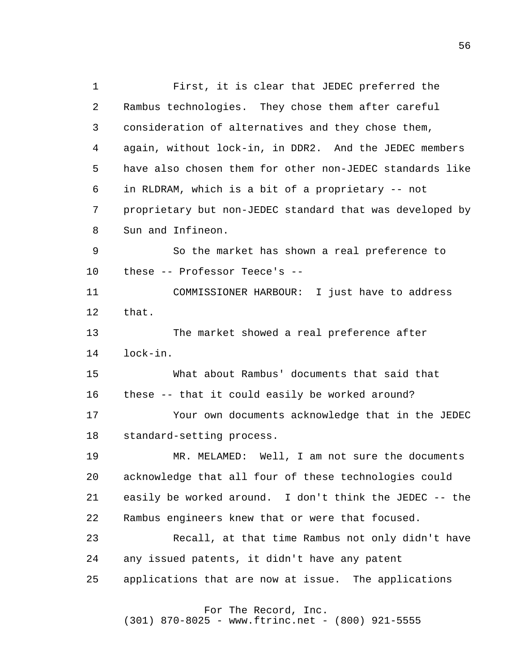1 2 3 4 **5**  6 7 8 9 10 11 12 13 14 15 16 17 18 19 20 21 22 23 24 25 First, it is clear that JEDEC preferred the Rambus technologies. They chose them after careful consideration of alternatives and they chose them, again, without lock-in, in DDR2. And the JEDEC members have also chosen them for other non-JEDEC standards like in RLDRAM, which is a bit of a proprietary -- not proprietary but non-JEDEC standard that was developed by Sun and Infineon. So the market has shown a real preference to these -- Professor Teece's - COMMISSIONER HARBOUR: I just have to address that. The market showed a real preference after lock-in. What about Rambus' documents that said that these -- that it could easily be worked around? Your own documents acknowledge that in the JEDEC standard-setting process. MR. MELAMED: Well, I am not sure the documents acknowledge that all four of these technologies could easily be worked around. I don't think the JEDEC -- the Rambus engineers knew that or were that focused. Recall, at that time Rambus not only didn't have any issued patents, it didn't have any patent applications that are now at issue. The applications For The Record, Inc.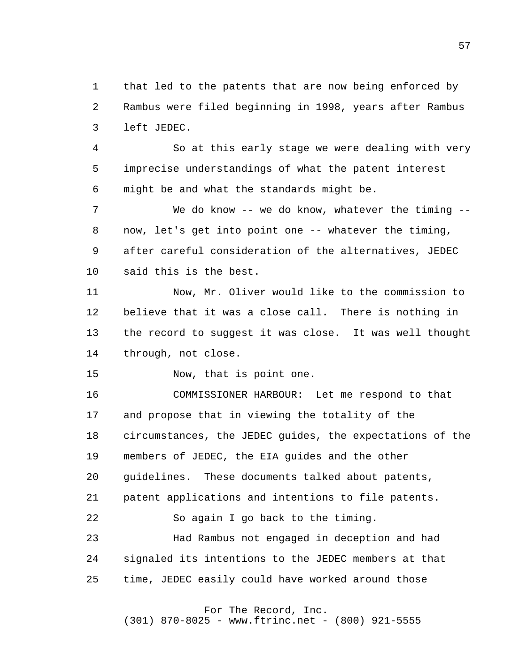1 2 3 that led to the patents that are now being enforced by Rambus were filed beginning in 1998, years after Rambus left JEDEC.

 4 **5**  6 So at this early stage we were dealing with very imprecise understandings of what the patent interest might be and what the standards might be.

 7 8 9 10 We do know -- we do know, whatever the timing -now, let's get into point one -- whatever the timing, after careful consideration of the alternatives, JEDEC said this is the best.

> 11 12 13 14 Now, Mr. Oliver would like to the commission to believe that it was a close call. There is nothing in the record to suggest it was close. It was well thought through, not close.

 15 Now, that is point one.

 16 17 18 19 20 21 22 23 24 25 COMMISSIONER HARBOUR: Let me respond to that and propose that in viewing the totality of the circumstances, the JEDEC guides, the expectations of the members of JEDEC, the EIA guides and the other guidelines. These documents talked about patents, patent applications and intentions to file patents. So again I go back to the timing. Had Rambus not engaged in deception and had signaled its intentions to the JEDEC members at that time, JEDEC easily could have worked around those

For The Record, Inc.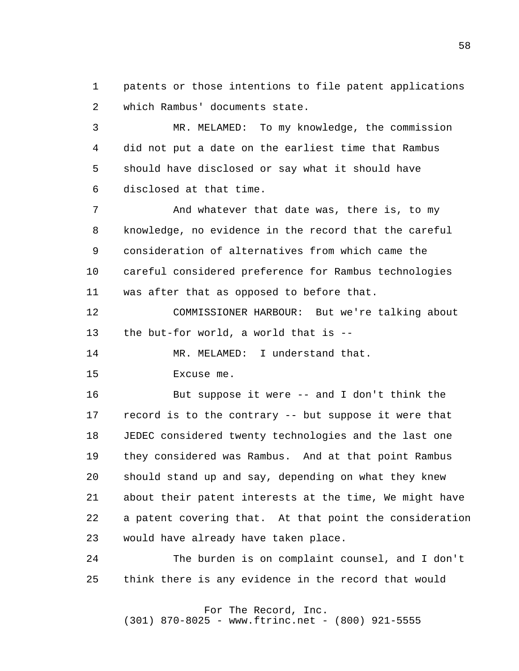1 2 patents or those intentions to file patent applications which Rambus' documents state.

 3 4 **5**  6 MR. MELAMED: To my knowledge, the commission did not put a date on the earliest time that Rambus should have disclosed or say what it should have disclosed at that time.

 7 8 9 10 11 And whatever that date was, there is, to my knowledge, no evidence in the record that the careful consideration of alternatives from which came the careful considered preference for Rambus technologies was after that as opposed to before that.

> 12 13 COMMISSIONER HARBOUR: But we're talking about the but-for world, a world that is -

 14 MR. MELAMED: I understand that.

 15 Excuse me.

 16 17 18 19 20 21 22 23 But suppose it were -- and I don't think the record is to the contrary -- but suppose it were that JEDEC considered twenty technologies and the last one they considered was Rambus. And at that point Rambus should stand up and say, depending on what they knew about their patent interests at the time, We might have a patent covering that. At that point the consideration would have already have taken place.

 24 25 The burden is on complaint counsel, and I don't think there is any evidence in the record that would

## For The Record, Inc.

(301) 870-8025 - www.ftrinc.net - (800) 921-5555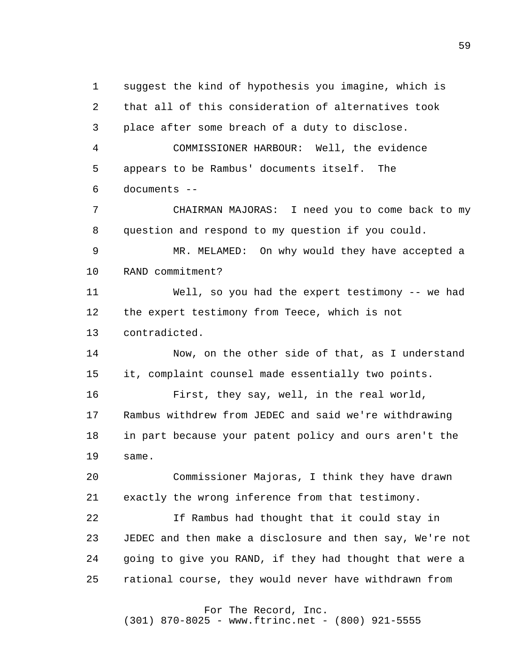1 2 3 4 **5**  6 7 8 9 10 11 12 13 14 15 16 17 18 19 20 21 22 23 24 25 suggest the kind of hypothesis you imagine, which is that all of this consideration of alternatives took place after some breach of a duty to disclose. COMMISSIONER HARBOUR: Well, the evidence appears to be Rambus' documents itself. The documents - CHAIRMAN MAJORAS: I need you to come back to my question and respond to my question if you could. MR. MELAMED: On why would they have accepted a RAND commitment? Well, so you had the expert testimony -- we had the expert testimony from Teece, which is not contradicted. Now, on the other side of that, as I understand it, complaint counsel made essentially two points. First, they say, well, in the real world, Rambus withdrew from JEDEC and said we're withdrawing in part because your patent policy and ours aren't the same. Commissioner Majoras, I think they have drawn exactly the wrong inference from that testimony. If Rambus had thought that it could stay in JEDEC and then make a disclosure and then say, We're not going to give you RAND, if they had thought that were a rational course, they would never have withdrawn from For The Record, Inc. (301) 870-8025 - www.ftrinc.net - (800) 921-5555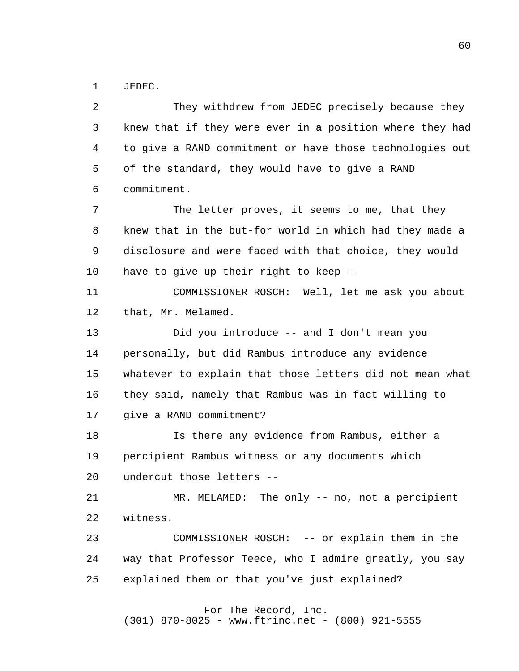1 JEDEC.

 2 3 4 **5**  6 7 8 9 10 11 12 13 14 15 16 17 18 19 20 21 22 23 24 25 They withdrew from JEDEC precisely because they knew that if they were ever in a position where they had to give a RAND commitment or have those technologies out of the standard, they would have to give a RAND commitment. The letter proves, it seems to me, that they knew that in the but-for world in which had they made a disclosure and were faced with that choice, they would have to give up their right to keep --COMMISSIONER ROSCH: Well, let me ask you about that, Mr. Melamed. Did you introduce -- and I don't mean you personally, but did Rambus introduce any evidence whatever to explain that those letters did not mean what they said, namely that Rambus was in fact willing to give a RAND commitment? Is there any evidence from Rambus, either a percipient Rambus witness or any documents which undercut those letters - MR. MELAMED: The only -- no, not a percipient witness. COMMISSIONER ROSCH: -- or explain them in the way that Professor Teece, who I admire greatly, you say explained them or that you've just explained?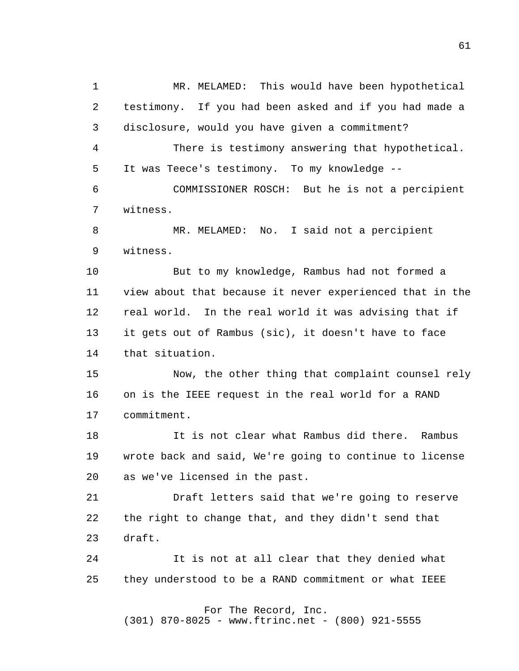1 2 3 4 **5**  6 7 8 9 10 11 12 13 14 15 16 17 18 19 20 21 22 23 24 25 MR. MELAMED: This would have been hypothetical testimony. If you had been asked and if you had made a disclosure, would you have given a commitment? There is testimony answering that hypothetical. It was Teece's testimony. To my knowledge - COMMISSIONER ROSCH: But he is not a percipient witness. MR. MELAMED: No. I said not a percipient witness. But to my knowledge, Rambus had not formed a view about that because it never experienced that in the real world. In the real world it was advising that if it gets out of Rambus (sic), it doesn't have to face that situation. Now, the other thing that complaint counsel rely on is the IEEE request in the real world for a RAND commitment. It is not clear what Rambus did there. Rambus wrote back and said, We're going to continue to license as we've licensed in the past. Draft letters said that we're going to reserve the right to change that, and they didn't send that draft. It is not at all clear that they denied what they understood to be a RAND commitment or what IEEE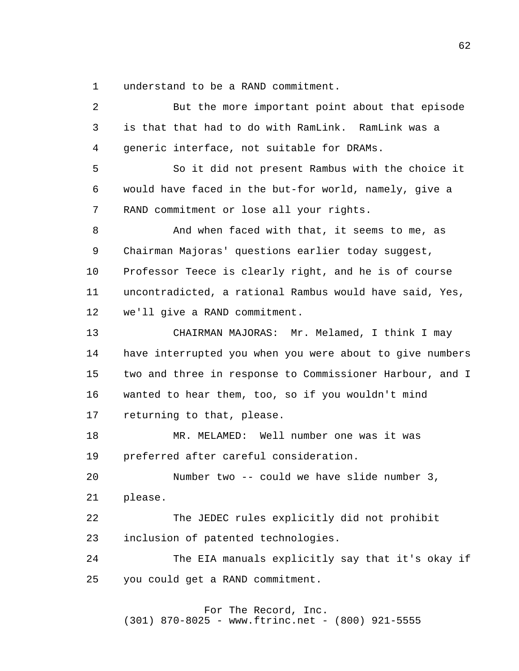1 understand to be a RAND commitment.

 2 3 4 **5**  6 7 8 9 10 11 12 13 14 15 16 17 18 19 20 21 22 23 24 25 But the more important point about that episode is that that had to do with RamLink. RamLink was a generic interface, not suitable for DRAMs. So it did not present Rambus with the choice it would have faced in the but-for world, namely, give a RAND commitment or lose all your rights. And when faced with that, it seems to me, as Chairman Majoras' questions earlier today suggest, Professor Teece is clearly right, and he is of course uncontradicted, a rational Rambus would have said, Yes, we'll give a RAND commitment. CHAIRMAN MAJORAS: Mr. Melamed, I think I may have interrupted you when you were about to give numbers two and three in response to Commissioner Harbour, and I wanted to hear them, too, so if you wouldn't mind returning to that, please. MR. MELAMED: Well number one was it was preferred after careful consideration. Number two -- could we have slide number 3, please. The JEDEC rules explicitly did not prohibit inclusion of patented technologies. The EIA manuals explicitly say that it's okay if you could get a RAND commitment.

> For The Record, Inc. (301) 870-8025 - www.ftrinc.net - (800) 921-5555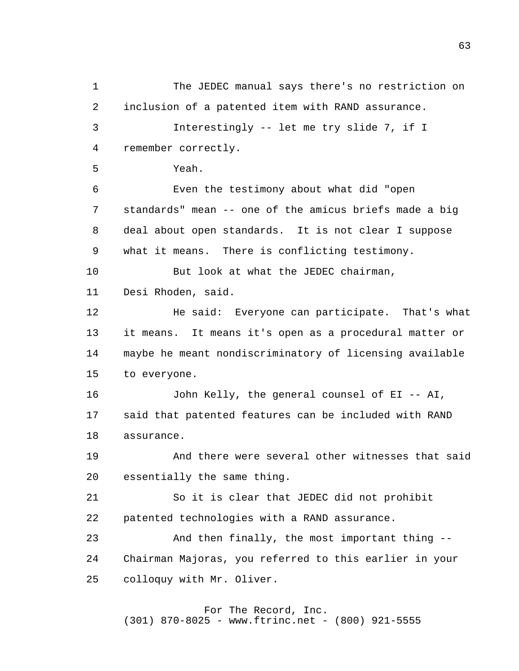1 2 3 4 **5**  6 7 8 9 10 11 12 13 14 15 16 17 18 19 20 21 22 23 24 25 The JEDEC manual says there's no restriction on inclusion of a patented item with RAND assurance. Interestingly -- let me try slide 7, if I remember correctly. Yeah. Even the testimony about what did "open standards" mean -- one of the amicus briefs made a big deal about open standards. It is not clear I suppose what it means. There is conflicting testimony. But look at what the JEDEC chairman, Desi Rhoden, said. He said: Everyone can participate. That's what it means. It means it's open as a procedural matter or maybe he meant nondiscriminatory of licensing available to everyone. John Kelly, the general counsel of EI -- AI, said that patented features can be included with RAND assurance. And there were several other witnesses that said essentially the same thing. So it is clear that JEDEC did not prohibit patented technologies with a RAND assurance. And then finally, the most important thing - Chairman Majoras, you referred to this earlier in your colloquy with Mr. Oliver.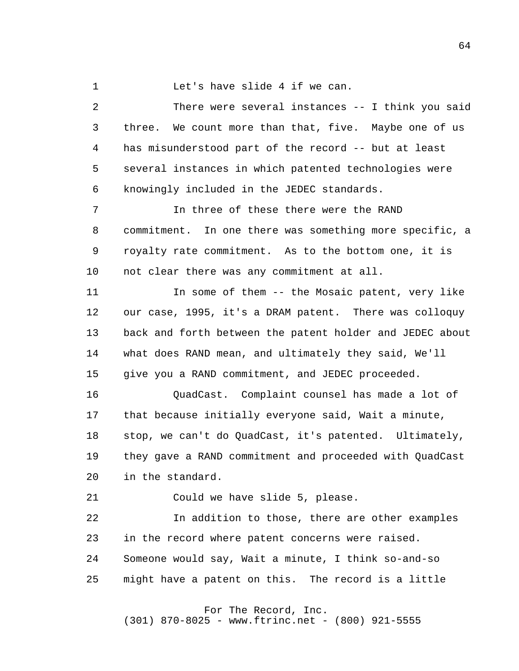1 Let's have slide 4 if we can.

 2 3 4 **5**  6 There were several instances -- I think you said three. We count more than that, five. Maybe one of us has misunderstood part of the record -- but at least several instances in which patented technologies were knowingly included in the JEDEC standards.

 7 8 9 10 In three of these there were the RAND commitment. In one there was something more specific, a royalty rate commitment. As to the bottom one, it is not clear there was any commitment at all.

> 11 12 13 14 15 In some of them -- the Mosaic patent, very like our case, 1995, it's a DRAM patent. There was colloquy back and forth between the patent holder and JEDEC about what does RAND mean, and ultimately they said, We'll give you a RAND commitment, and JEDEC proceeded.

 16 17 18 19 20 QuadCast. Complaint counsel has made a lot of that because initially everyone said, Wait a minute, stop, we can't do QuadCast, it's patented. Ultimately, they gave a RAND commitment and proceeded with QuadCast in the standard.

 21 Could we have slide 5, please.

 22 23 24 25 In addition to those, there are other examples in the record where patent concerns were raised. Someone would say, Wait a minute, I think so-and-so might have a patent on this. The record is a little

For The Record, Inc.

(301) 870-8025 - www.ftrinc.net - (800) 921-5555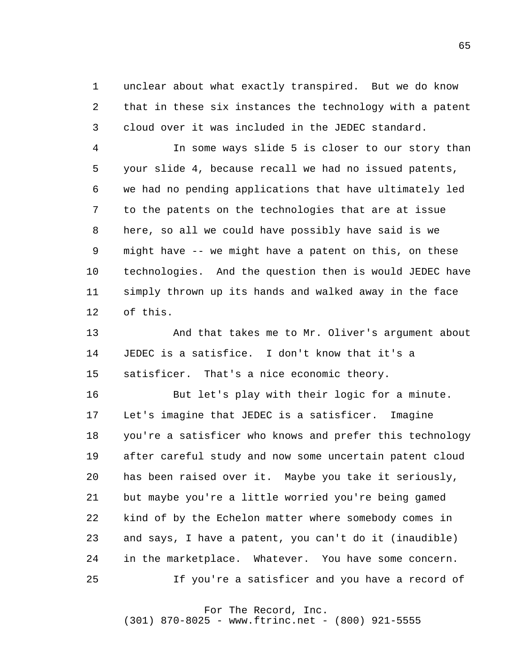1 2 3 unclear about what exactly transpired. But we do know that in these six instances the technology with a patent cloud over it was included in the JEDEC standard.

 4 **5**  6 7 8 9 10 11 12 In some ways slide 5 is closer to our story than your slide 4, because recall we had no issued patents, we had no pending applications that have ultimately led to the patents on the technologies that are at issue here, so all we could have possibly have said is we might have -- we might have a patent on this, on these technologies. And the question then is would JEDEC have simply thrown up its hands and walked away in the face of this.

> 13 14 15 And that takes me to Mr. Oliver's argument about JEDEC is a satisfice. I don't know that it's a satisficer. That's a nice economic theory.

> 16 17 18 19 20 21 22 23 24 25 But let's play with their logic for a minute. Let's imagine that JEDEC is a satisficer. Imagine you're a satisficer who knows and prefer this technology after careful study and now some uncertain patent cloud has been raised over it. Maybe you take it seriously, but maybe you're a little worried you're being gamed kind of by the Echelon matter where somebody comes in and says, I have a patent, you can't do it (inaudible) in the marketplace. Whatever. You have some concern. If you're a satisficer and you have a record of

> > For The Record, Inc.

(301) 870-8025 - www.ftrinc.net - (800) 921-5555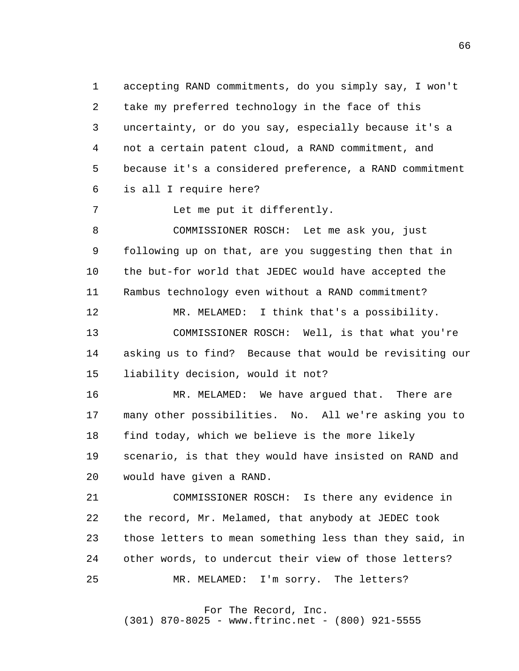1 2 3 4 **5**  6 accepting RAND commitments, do you simply say, I won't take my preferred technology in the face of this uncertainty, or do you say, especially because it's a not a certain patent cloud, a RAND commitment, and because it's a considered preference, a RAND commitment is all I require here?

 7 Let me put it differently.

 8 9 10 11 12 13 14 COMMISSIONER ROSCH: Let me ask you, just following up on that, are you suggesting then that in the but-for world that JEDEC would have accepted the Rambus technology even without a RAND commitment? MR. MELAMED: I think that's a possibility. COMMISSIONER ROSCH: Well, is that what you're asking us to find? Because that would be revisiting our

> 15 liability decision, would it not?

 16 17 18 19 20 MR. MELAMED: We have argued that. There are many other possibilities. No. All we're asking you to find today, which we believe is the more likely scenario, is that they would have insisted on RAND and would have given a RAND.

 21 22 23 24 25 COMMISSIONER ROSCH: Is there any evidence in the record, Mr. Melamed, that anybody at JEDEC took those letters to mean something less than they said, in other words, to undercut their view of those letters? MR. MELAMED: I'm sorry. The letters?

For The Record, Inc.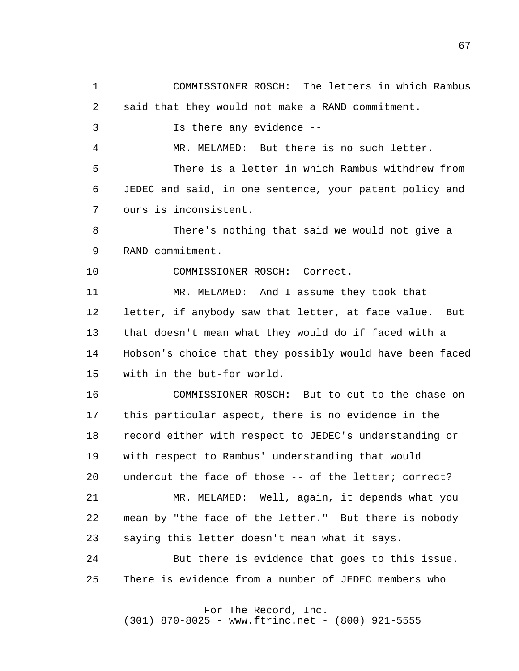1 2 3 4 **5**  6 7 8 9 10 11 12 13 14 15 16 17 COMMISSIONER ROSCH: The letters in which Rambus said that they would not make a RAND commitment. Is there any evidence - MR. MELAMED: But there is no such letter. There is a letter in which Rambus withdrew from JEDEC and said, in one sentence, your patent policy and ours is inconsistent. There's nothing that said we would not give a RAND commitment. COMMISSIONER ROSCH: Correct. MR. MELAMED: And I assume they took that letter, if anybody saw that letter, at face value. But that doesn't mean what they would do if faced with a Hobson's choice that they possibly would have been faced with in the but-for world. COMMISSIONER ROSCH: But to cut to the chase on this particular aspect, there is no evidence in the

 18 19 20 21 22 23 24 record either with respect to JEDEC's understanding or with respect to Rambus' understanding that would undercut the face of those -- of the letter; correct? MR. MELAMED: Well, again, it depends what you mean by "the face of the letter." But there is nobody saying this letter doesn't mean what it says. But there is evidence that goes to this issue.

 25 There is evidence from a number of JEDEC members who

For The Record, Inc.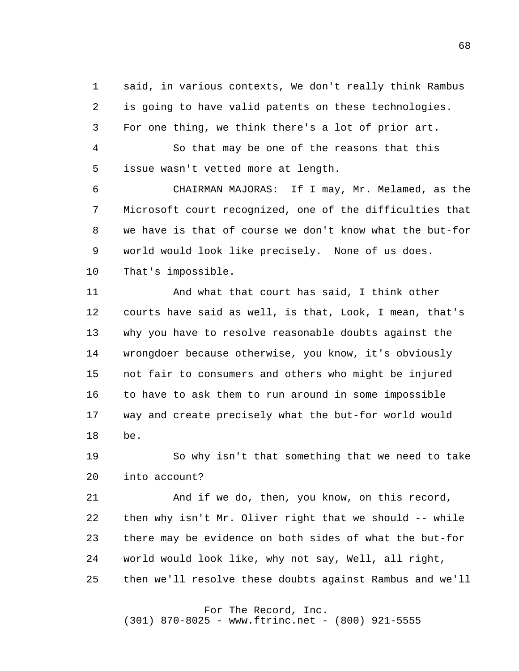1 2 3 said, in various contexts, We don't really think Rambus is going to have valid patents on these technologies. For one thing, we think there's a lot of prior art.

 4 **5** So that may be one of the reasons that this issue wasn't vetted more at length.

 6 7 8 9 10 CHAIRMAN MAJORAS: If I may, Mr. Melamed, as the Microsoft court recognized, one of the difficulties that we have is that of course we don't know what the but-for world would look like precisely. None of us does. That's impossible.

> 11 12 13 14 15 16 17 18 And what that court has said, I think other courts have said as well, is that, Look, I mean, that's why you have to resolve reasonable doubts against the wrongdoer because otherwise, you know, it's obviously not fair to consumers and others who might be injured to have to ask them to run around in some impossible way and create precisely what the but-for world would be.

 19 20 So why isn't that something that we need to take into account?

 21 22 23 24 25 And if we do, then, you know, on this record, then why isn't Mr. Oliver right that we should -- while there may be evidence on both sides of what the but-for world would look like, why not say, Well, all right, then we'll resolve these doubts against Rambus and we'll

## For The Record, Inc.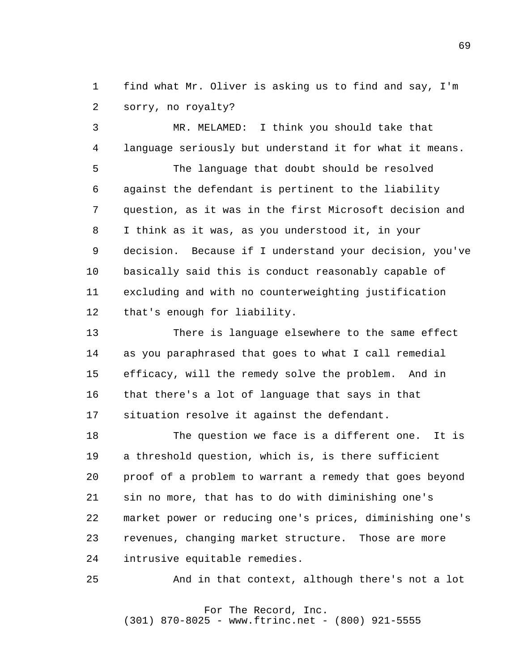1 2 find what Mr. Oliver is asking us to find and say, I'm sorry, no royalty?

 3 4 **5**  6 7 8 9 10 11 12 MR. MELAMED: I think you should take that language seriously but understand it for what it means. The language that doubt should be resolved against the defendant is pertinent to the liability question, as it was in the first Microsoft decision and I think as it was, as you understood it, in your decision. Because if I understand your decision, you've basically said this is conduct reasonably capable of excluding and with no counterweighting justification that's enough for liability.

> 13 14 15 16 17 There is language elsewhere to the same effect as you paraphrased that goes to what I call remedial efficacy, will the remedy solve the problem. And in that there's a lot of language that says in that situation resolve it against the defendant.

 18 19 20 21 22 23 24 The question we face is a different one. It is a threshold question, which is, is there sufficient proof of a problem to warrant a remedy that goes beyond sin no more, that has to do with diminishing one's market power or reducing one's prices, diminishing one's revenues, changing market structure. Those are more intrusive equitable remedies.

 25 And in that context, although there's not a lot

#### For The Record, Inc. (301) 870-8025 - www.ftrinc.net - (800) 921-5555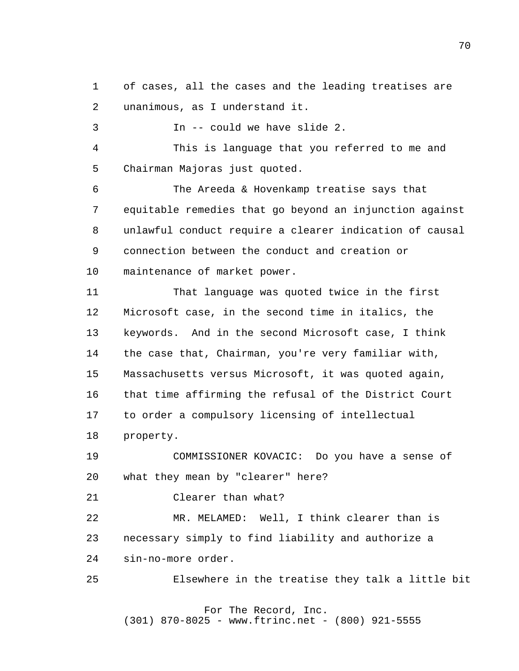1 2 of cases, all the cases and the leading treatises are unanimous, as I understand it.

 3 4  $5<sub>5</sub>$  6 7 8 9 10 11 12 13 14 15 16 17 18 19 In -- could we have slide 2. This is language that you referred to me and Chairman Majoras just quoted. The Areeda & Hovenkamp treatise says that equitable remedies that go beyond an injunction against unlawful conduct require a clearer indication of causal connection between the conduct and creation or maintenance of market power. That language was quoted twice in the first Microsoft case, in the second time in italics, the keywords. And in the second Microsoft case, I think the case that, Chairman, you're very familiar with, Massachusetts versus Microsoft, it was quoted again, that time affirming the refusal of the District Court to order a compulsory licensing of intellectual property. COMMISSIONER KOVACIC: Do you have a sense of

 20 what they mean by "clearer" here?

 21 Clearer than what?

 22 23 24 MR. MELAMED: Well, I think clearer than is necessary simply to find liability and authorize a sin-no-more order.

 25 Elsewhere in the treatise they talk a little bit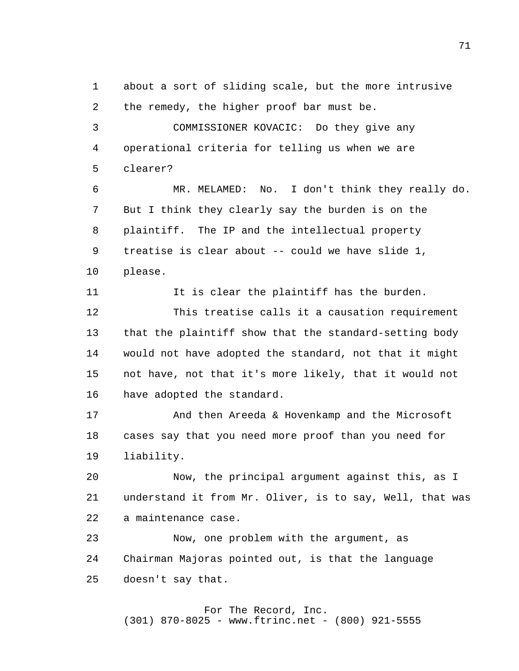1 2 about a sort of sliding scale, but the more intrusive the remedy, the higher proof bar must be.

 3 4  $5<sub>5</sub>$ COMMISSIONER KOVACIC: Do they give any operational criteria for telling us when we are clearer?

 6 7 8 9 10 MR. MELAMED: No. I don't think they really do. But I think they clearly say the burden is on the plaintiff. The IP and the intellectual property treatise is clear about -- could we have slide 1, please.

> 11 It is clear the plaintiff has the burden.

 12 13 14 15 16 This treatise calls it a causation requirement that the plaintiff show that the standard-setting body would not have adopted the standard, not that it might not have, not that it's more likely, that it would not have adopted the standard.

 17 18 19 And then Areeda & Hovenkamp and the Microsoft cases say that you need more proof than you need for liability.

 20 21 22 Now, the principal argument against this, as I understand it from Mr. Oliver, is to say, Well, that was a maintenance case.

 23 24 25 Now, one problem with the argument, as Chairman Majoras pointed out, is that the language doesn't say that.

 For The Record, Inc. (301) 870-8025 - www.ftrinc.net - (800) 921-5555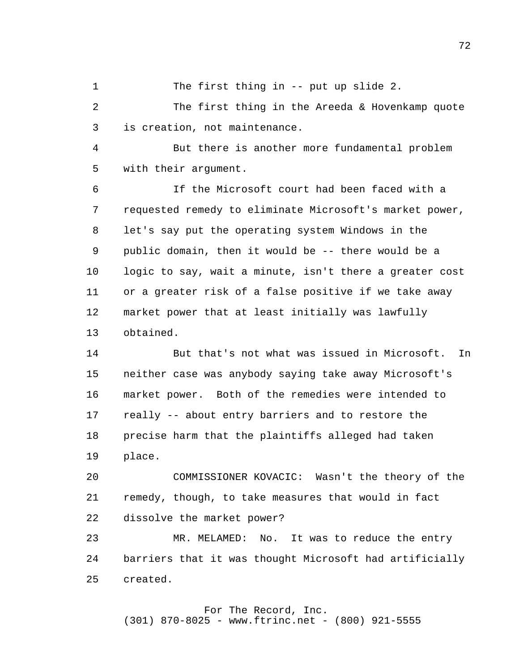1 The first thing in -- put up slide 2.

 2 3 The first thing in the Areeda & Hovenkamp quote is creation, not maintenance.

 4  $5<sub>5</sub>$ But there is another more fundamental problem with their argument.

 6 7 8 9 10 11 12 13 If the Microsoft court had been faced with a requested remedy to eliminate Microsoft's market power, let's say put the operating system Windows in the public domain, then it would be -- there would be a logic to say, wait a minute, isn't there a greater cost or a greater risk of a false positive if we take away market power that at least initially was lawfully obtained.

> 14 15 16 17 18 19 But that's not what was issued in Microsoft. In neither case was anybody saying take away Microsoft's market power. Both of the remedies were intended to really -- about entry barriers and to restore the precise harm that the plaintiffs alleged had taken place.

 20 21 22 COMMISSIONER KOVACIC: Wasn't the theory of the remedy, though, to take measures that would in fact dissolve the market power?

 23 24 25 MR. MELAMED: No. It was to reduce the entry barriers that it was thought Microsoft had artificially created.

#### For The Record, Inc. (301) 870-8025 - www.ftrinc.net - (800) 921-5555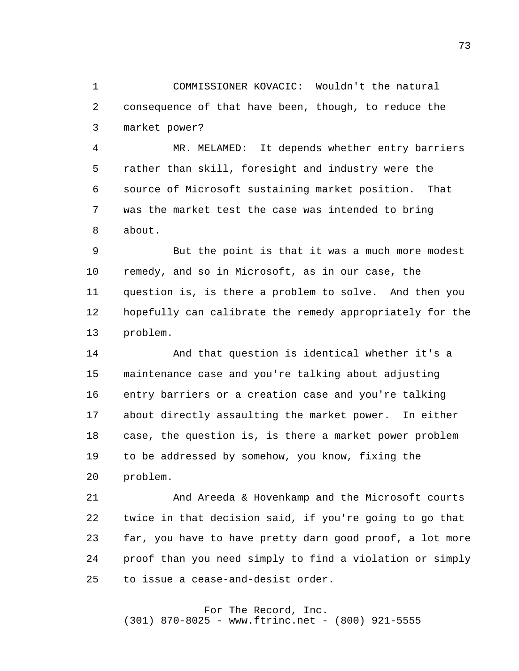1 2 3 COMMISSIONER KOVACIC: Wouldn't the natural consequence of that have been, though, to reduce the market power?

 4 **5**  6 7 8 MR. MELAMED: It depends whether entry barriers rather than skill, foresight and industry were the source of Microsoft sustaining market position. That was the market test the case was intended to bring about.

 9 10 11 12 13 But the point is that it was a much more modest remedy, and so in Microsoft, as in our case, the question is, is there a problem to solve. And then you hopefully can calibrate the remedy appropriately for the problem.

> 14 15 16 17 18 19 20 And that question is identical whether it's a maintenance case and you're talking about adjusting entry barriers or a creation case and you're talking about directly assaulting the market power. In either case, the question is, is there a market power problem to be addressed by somehow, you know, fixing the problem.

 21 22 23 24 25 And Areeda & Hovenkamp and the Microsoft courts twice in that decision said, if you're going to go that far, you have to have pretty darn good proof, a lot more proof than you need simply to find a violation or simply to issue a cease-and-desist order.

## For The Record, Inc.

(301) 870-8025 - www.ftrinc.net - (800) 921-5555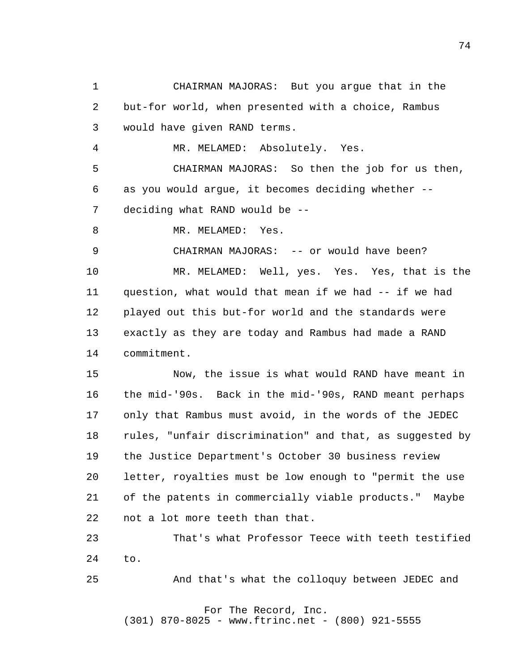1 2 3 4 **5**  6 7 8 9 10 11 12 13 14 15 16 17 18 19 20 21 22 23 24 25 CHAIRMAN MAJORAS: But you argue that in the but-for world, when presented with a choice, Rambus would have given RAND terms. MR. MELAMED: Absolutely. Yes. CHAIRMAN MAJORAS: So then the job for us then, as you would argue, it becomes deciding whether deciding what RAND would be - MR. MELAMED: Yes. CHAIRMAN MAJORAS: -- or would have been? MR. MELAMED: Well, yes. Yes. Yes, that is the question, what would that mean if we had -- if we had played out this but-for world and the standards were exactly as they are today and Rambus had made a RAND commitment. Now, the issue is what would RAND have meant in the mid-'90s. Back in the mid-'90s, RAND meant perhaps only that Rambus must avoid, in the words of the JEDEC rules, "unfair discrimination" and that, as suggested by the Justice Department's October 30 business review letter, royalties must be low enough to "permit the use of the patents in commercially viable products." Maybe not a lot more teeth than that. That's what Professor Teece with teeth testified to. And that's what the colloquy between JEDEC and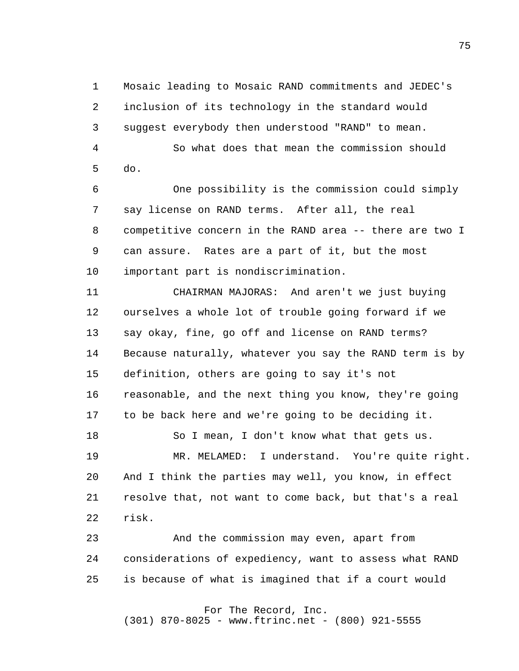1 2 3 4 **5**  6 Mosaic leading to Mosaic RAND commitments and JEDEC's inclusion of its technology in the standard would suggest everybody then understood "RAND" to mean. So what does that mean the commission should do. One possibility is the commission could simply

 7 8 9 10 say license on RAND terms. After all, the real competitive concern in the RAND area -- there are two I can assure. Rates are a part of it, but the most important part is nondiscrimination.

> 11 12 13 14 15 16 17 CHAIRMAN MAJORAS: And aren't we just buying ourselves a whole lot of trouble going forward if we say okay, fine, go off and license on RAND terms? Because naturally, whatever you say the RAND term is by definition, others are going to say it's not reasonable, and the next thing you know, they're going to be back here and we're going to be deciding it.

 18 19 20 21 22 So I mean, I don't know what that gets us. MR. MELAMED: I understand. You're quite right. And I think the parties may well, you know, in effect resolve that, not want to come back, but that's a real risk.

 23 24 25 And the commission may even, apart from considerations of expediency, want to assess what RAND is because of what is imagined that if a court would

> For The Record, Inc. (301) 870-8025 - www.ftrinc.net - (800) 921-5555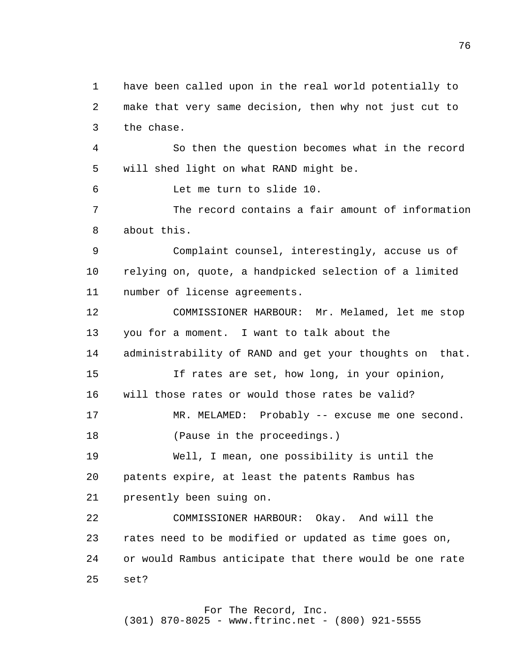1 2 3 4 **5**  6 7 8 9 10 11 12 13 14 15 16 17 18 19 20 21 22 23 24 25 have been called upon in the real world potentially to make that very same decision, then why not just cut to the chase. So then the question becomes what in the record will shed light on what RAND might be. Let me turn to slide 10. The record contains a fair amount of information about this. Complaint counsel, interestingly, accuse us of relying on, quote, a handpicked selection of a limited number of license agreements. COMMISSIONER HARBOUR: Mr. Melamed, let me stop you for a moment. I want to talk about the administrability of RAND and get your thoughts on that. If rates are set, how long, in your opinion, will those rates or would those rates be valid? MR. MELAMED: Probably -- excuse me one second. (Pause in the proceedings.) Well, I mean, one possibility is until the patents expire, at least the patents Rambus has presently been suing on. COMMISSIONER HARBOUR: Okay. And will the rates need to be modified or updated as time goes on, or would Rambus anticipate that there would be one rate set?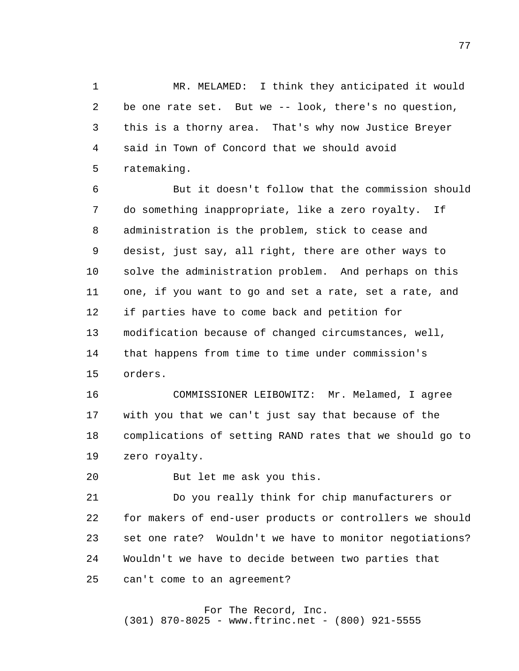1 2 3 4 **5** MR. MELAMED: I think they anticipated it would be one rate set. But we -- look, there's no question, this is a thorny area. That's why now Justice Breyer said in Town of Concord that we should avoid ratemaking.

 6 7 8 9 10 11 12 13 14 15 But it doesn't follow that the commission should do something inappropriate, like a zero royalty. If administration is the problem, stick to cease and desist, just say, all right, there are other ways to solve the administration problem. And perhaps on this one, if you want to go and set a rate, set a rate, and if parties have to come back and petition for modification because of changed circumstances, well, that happens from time to time under commission's orders.

> 16 17 18 19 COMMISSIONER LEIBOWITZ: Mr. Melamed, I agree with you that we can't just say that because of the complications of setting RAND rates that we should go to zero royalty.

 20 But let me ask you this.

 21 22 23 24 25 Do you really think for chip manufacturers or for makers of end-user products or controllers we should set one rate? Wouldn't we have to monitor negotiations? Wouldn't we have to decide between two parties that can't come to an agreement?

#### For The Record, Inc. (301) 870-8025 - www.ftrinc.net - (800) 921-5555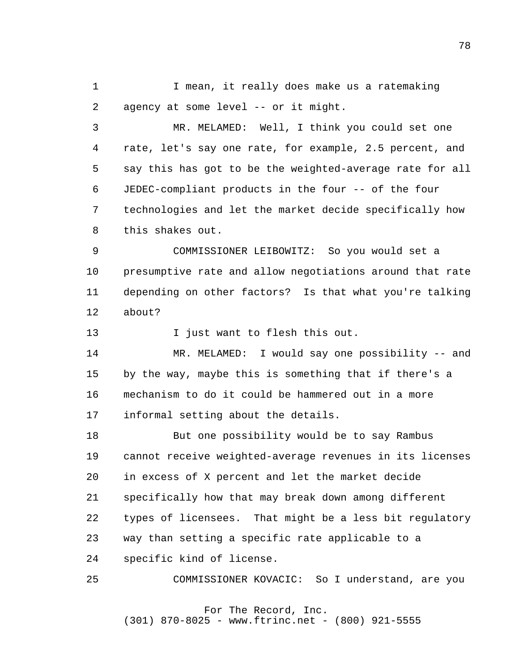1 2 I mean, it really does make us a ratemaking agency at some level -- or it might.

 3 4 **5**  6 7 8 MR. MELAMED: Well, I think you could set one rate, let's say one rate, for example, 2.5 percent, and say this has got to be the weighted-average rate for all JEDEC-compliant products in the four -- of the four technologies and let the market decide specifically how this shakes out.

 9 10 11 12 COMMISSIONER LEIBOWITZ: So you would set a presumptive rate and allow negotiations around that rate depending on other factors? Is that what you're talking about?

> 13 I just want to flesh this out.

 14 15 16 17 MR. MELAMED: I would say one possibility -- and by the way, maybe this is something that if there's a mechanism to do it could be hammered out in a more informal setting about the details.

 18 19 20 21 22 23 24 But one possibility would be to say Rambus cannot receive weighted-average revenues in its licenses in excess of X percent and let the market decide specifically how that may break down among different types of licensees. That might be a less bit regulatory way than setting a specific rate applicable to a specific kind of license.

 25 COMMISSIONER KOVACIC: So I understand, are you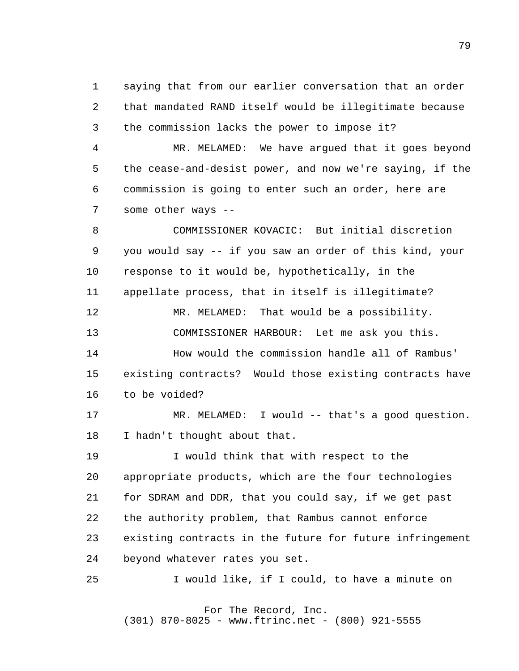1 2 3 saying that from our earlier conversation that an order that mandated RAND itself would be illegitimate because the commission lacks the power to impose it?

 4 **5**  6 7 MR. MELAMED: We have argued that it goes beyond the cease-and-desist power, and now we're saying, if the commission is going to enter such an order, here are some other ways --

 8 9 10 11 12 13 14 15 16 17 18 19 20 21 22 COMMISSIONER KOVACIC: But initial discretion you would say -- if you saw an order of this kind, your response to it would be, hypothetically, in the appellate process, that in itself is illegitimate? MR. MELAMED: That would be a possibility. COMMISSIONER HARBOUR: Let me ask you this. How would the commission handle all of Rambus' existing contracts? Would those existing contracts have to be voided? MR. MELAMED: I would -- that's a good question. I hadn't thought about that. I would think that with respect to the appropriate products, which are the four technologies for SDRAM and DDR, that you could say, if we get past the authority problem, that Rambus cannot enforce

> 23 existing contracts in the future for future infringement

 24 beyond whatever rates you set.

 25 I would like, if I could, to have a minute on

#### For The Record, Inc. (301) 870-8025 - www.ftrinc.net - (800) 921-5555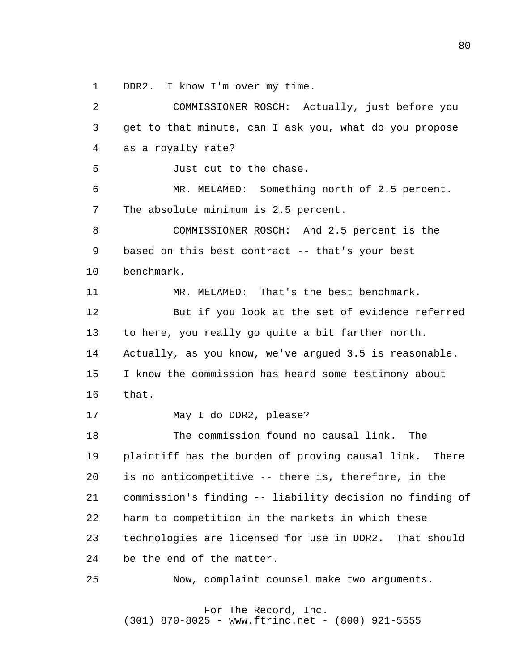1 DDR2. I know I'm over my time.

 2 3 4 **5**  6 7 8 9 10 11 12 13 14 15 16 17 18 19 20 21 22 23 24 25 COMMISSIONER ROSCH: Actually, just before you get to that minute, can I ask you, what do you propose as a royalty rate? Just cut to the chase. MR. MELAMED: Something north of 2.5 percent. The absolute minimum is 2.5 percent. COMMISSIONER ROSCH: And 2.5 percent is the based on this best contract -- that's your best benchmark. MR. MELAMED: That's the best benchmark. But if you look at the set of evidence referred to here, you really go quite a bit farther north. Actually, as you know, we've argued 3.5 is reasonable. I know the commission has heard some testimony about that. May I do DDR2, please? The commission found no causal link. The plaintiff has the burden of proving causal link. There is no anticompetitive -- there is, therefore, in the commission's finding -- liability decision no finding of harm to competition in the markets in which these technologies are licensed for use in DDR2. That should be the end of the matter. Now, complaint counsel make two arguments.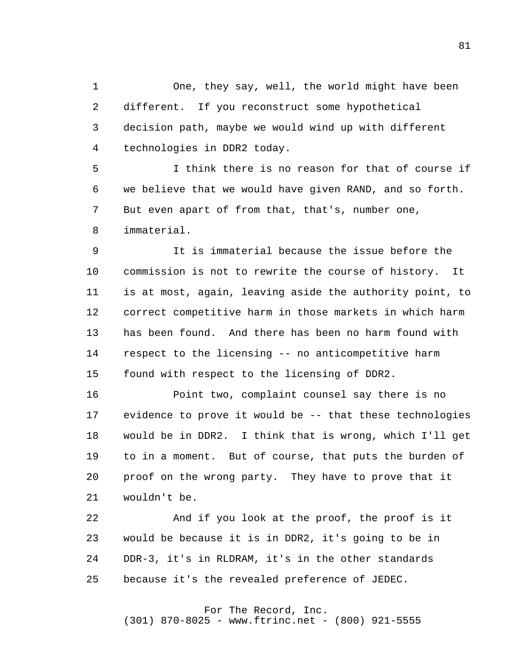1 2 3 4 One, they say, well, the world might have been different. If you reconstruct some hypothetical decision path, maybe we would wind up with different technologies in DDR2 today.

**5**  6 7 8 I think there is no reason for that of course if we believe that we would have given RAND, and so forth. But even apart of from that, that's, number one, immaterial.

 9 10 11 12 13 14 15 It is immaterial because the issue before the commission is not to rewrite the course of history. It is at most, again, leaving aside the authority point, to correct competitive harm in those markets in which harm has been found. And there has been no harm found with respect to the licensing -- no anticompetitive harm found with respect to the licensing of DDR2.

> 16 17 18 19 20 21 Point two, complaint counsel say there is no evidence to prove it would be -- that these technologies would be in DDR2. I think that is wrong, which I'll get to in a moment. But of course, that puts the burden of proof on the wrong party. They have to prove that it wouldn't be.

 22 23 24 25 And if you look at the proof, the proof is it would be because it is in DDR2, it's going to be in DDR-3, it's in RLDRAM, it's in the other standards because it's the revealed preference of JEDEC.

For The Record, Inc.

(301) 870-8025 - www.ftrinc.net - (800) 921-5555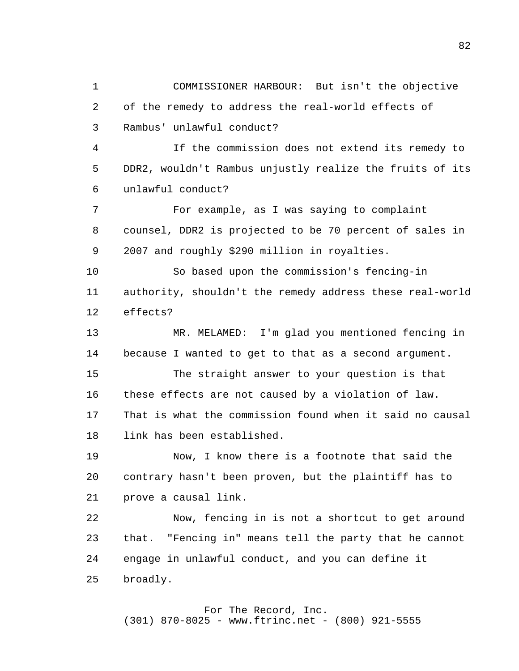1 2 3 4 **5**  6 7 8 9 10 11 12 13 14 15 16 17 18 19 20 21 22 23 24 25 COMMISSIONER HARBOUR: But isn't the objective of the remedy to address the real-world effects of Rambus' unlawful conduct? If the commission does not extend its remedy to DDR2, wouldn't Rambus unjustly realize the fruits of its unlawful conduct? For example, as I was saying to complaint counsel, DDR2 is projected to be 70 percent of sales in 2007 and roughly \$290 million in royalties. So based upon the commission's fencing-in authority, shouldn't the remedy address these real-world effects? MR. MELAMED: I'm glad you mentioned fencing in because I wanted to get to that as a second argument. The straight answer to your question is that these effects are not caused by a violation of law. That is what the commission found when it said no causal link has been established. Now, I know there is a footnote that said the contrary hasn't been proven, but the plaintiff has to prove a causal link. Now, fencing in is not a shortcut to get around that. "Fencing in" means tell the party that he cannot engage in unlawful conduct, and you can define it broadly.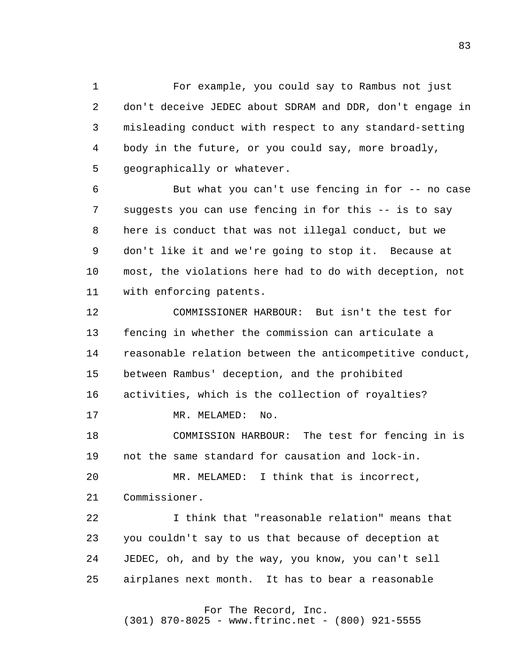1 2 3 4 **5** For example, you could say to Rambus not just don't deceive JEDEC about SDRAM and DDR, don't engage in misleading conduct with respect to any standard-setting body in the future, or you could say, more broadly, geographically or whatever.

 6 7 8 9 10 11 But what you can't use fencing in for -- no case suggests you can use fencing in for this -- is to say here is conduct that was not illegal conduct, but we don't like it and we're going to stop it. Because at most, the violations here had to do with deception, not with enforcing patents.

> 12 13 14 15 16 17 COMMISSIONER HARBOUR: But isn't the test for fencing in whether the commission can articulate a reasonable relation between the anticompetitive conduct, between Rambus' deception, and the prohibited activities, which is the collection of royalties? MR. MELAMED: No.

 18 19 COMMISSION HARBOUR: The test for fencing in is not the same standard for causation and lock-in.

 20 21 MR. MELAMED: I think that is incorrect, Commissioner.

 22 23 24 25 I think that "reasonable relation" means that you couldn't say to us that because of deception at JEDEC, oh, and by the way, you know, you can't sell airplanes next month. It has to bear a reasonable

For The Record, Inc.

(301) 870-8025 - www.ftrinc.net - (800) 921-5555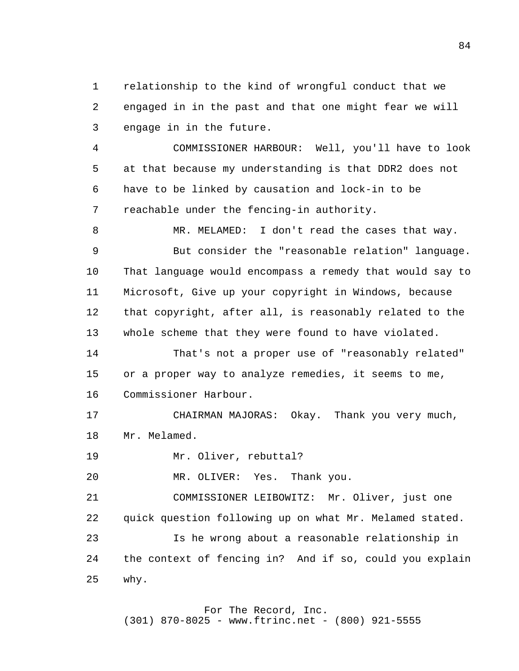1 2 3 relationship to the kind of wrongful conduct that we engaged in in the past and that one might fear we will engage in in the future.

 4 **5**  6 7 COMMISSIONER HARBOUR: Well, you'll have to look at that because my understanding is that DDR2 does not have to be linked by causation and lock-in to be reachable under the fencing-in authority.

 8 9 10 11 12 13 MR. MELAMED: I don't read the cases that way. But consider the "reasonable relation" language. That language would encompass a remedy that would say to Microsoft, Give up your copyright in Windows, because that copyright, after all, is reasonably related to the whole scheme that they were found to have violated.

> 14 15 16 That's not a proper use of "reasonably related" or a proper way to analyze remedies, it seems to me, Commissioner Harbour.

 17 18 CHAIRMAN MAJORAS: Okay. Thank you very much, Mr. Melamed.

 19 Mr. Oliver, rebuttal?

 20 MR. OLIVER: Yes. Thank you.

 21 22 23 24 25 COMMISSIONER LEIBOWITZ: Mr. Oliver, just one quick question following up on what Mr. Melamed stated. Is he wrong about a reasonable relationship in the context of fencing in? And if so, could you explain why.

> For The Record, Inc. (301) 870-8025 - www.ftrinc.net - (800) 921-5555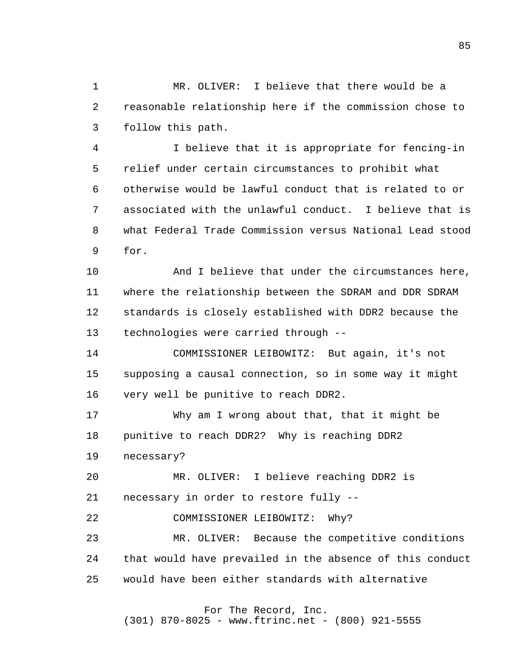1 2 3 MR. OLIVER: I believe that there would be a reasonable relationship here if the commission chose to follow this path.

 4 **5**  6 7 8 9 I believe that it is appropriate for fencing-in relief under certain circumstances to prohibit what otherwise would be lawful conduct that is related to or associated with the unlawful conduct. I believe that is what Federal Trade Commission versus National Lead stood for.

> 10 11 12 13 And I believe that under the circumstances here, where the relationship between the SDRAM and DDR SDRAM standards is closely established with DDR2 because the technologies were carried through -

 14 15 16 COMMISSIONER LEIBOWITZ: But again, it's not supposing a causal connection, so in some way it might very well be punitive to reach DDR2.

 17 18 Why am I wrong about that, that it might be punitive to reach DDR2? Why is reaching DDR2

 19 necessary?

 20 21 MR. OLIVER: I believe reaching DDR2 is necessary in order to restore fully -

 22 COMMISSIONER LEIBOWITZ: Why?

 23 24 25 MR. OLIVER: Because the competitive conditions that would have prevailed in the absence of this conduct would have been either standards with alternative

For The Record, Inc.

(301) 870-8025 - www.ftrinc.net - (800) 921-5555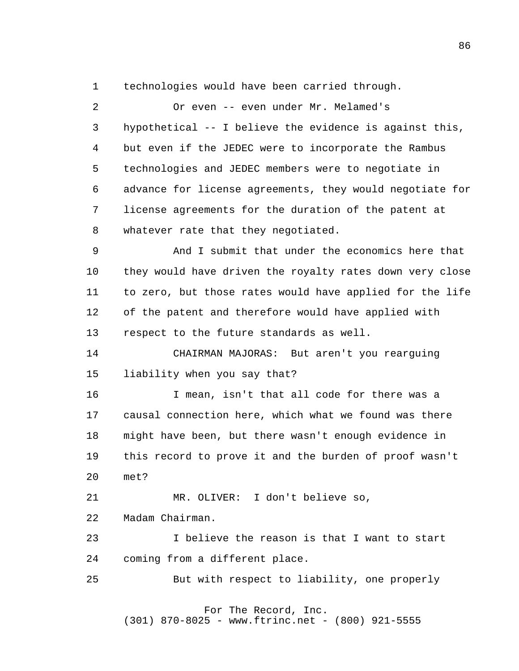1 technologies would have been carried through.

 2 3 4 **5**  6 7 8 Or even -- even under Mr. Melamed's hypothetical -- I believe the evidence is against this, but even if the JEDEC were to incorporate the Rambus technologies and JEDEC members were to negotiate in advance for license agreements, they would negotiate for license agreements for the duration of the patent at whatever rate that they negotiated.

 9 10 11 12 13 And I submit that under the economics here that they would have driven the royalty rates down very close to zero, but those rates would have applied for the life of the patent and therefore would have applied with respect to the future standards as well.

> 14 15 CHAIRMAN MAJORAS: But aren't you rearguing liability when you say that?

 16 17 18 19 20 I mean, isn't that all code for there was a causal connection here, which what we found was there might have been, but there wasn't enough evidence in this record to prove it and the burden of proof wasn't met?

 21 22 MR. OLIVER: I don't believe so, Madam Chairman.

 23 24 I believe the reason is that I want to start coming from a different place.

 25 But with respect to liability, one properly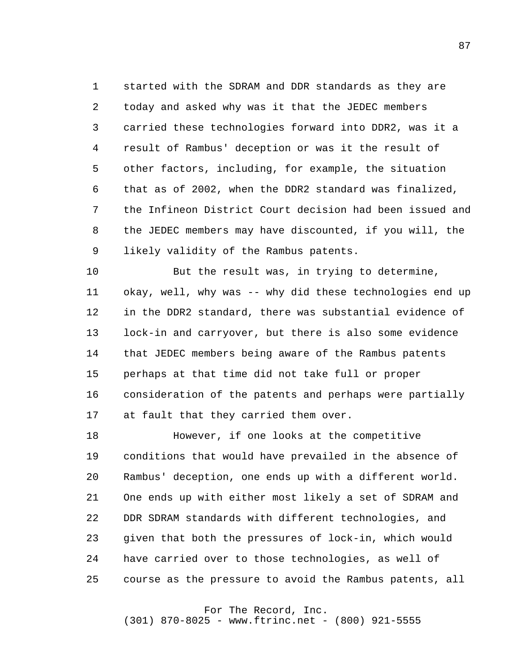1 2 3 4 **5**  6 7 8 9 started with the SDRAM and DDR standards as they are today and asked why was it that the JEDEC members carried these technologies forward into DDR2, was it a result of Rambus' deception or was it the result of other factors, including, for example, the situation that as of 2002, when the DDR2 standard was finalized, the Infineon District Court decision had been issued and the JEDEC members may have discounted, if you will, the likely validity of the Rambus patents.

> 10 11 12 13 14 15 16 17 But the result was, in trying to determine, okay, well, why was -- why did these technologies end up in the DDR2 standard, there was substantial evidence of lock-in and carryover, but there is also some evidence that JEDEC members being aware of the Rambus patents perhaps at that time did not take full or proper consideration of the patents and perhaps were partially at fault that they carried them over.

 18 19 20 21 22 23 24 25 However, if one looks at the competitive conditions that would have prevailed in the absence of Rambus' deception, one ends up with a different world. One ends up with either most likely a set of SDRAM and DDR SDRAM standards with different technologies, and given that both the pressures of lock-in, which would have carried over to those technologies, as well of course as the pressure to avoid the Rambus patents, all

### For The Record, Inc.

(301) 870-8025 - www.ftrinc.net - (800) 921-5555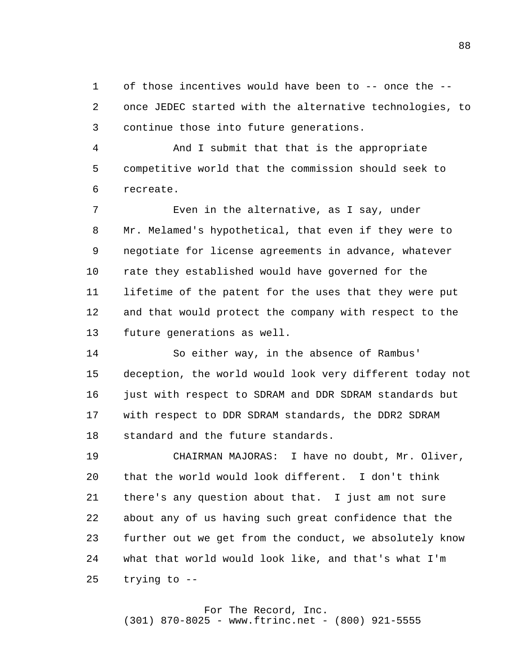1 2 3 of those incentives would have been to -- once the once JEDEC started with the alternative technologies, to continue those into future generations.

 4 **5**  6 And I submit that that is the appropriate competitive world that the commission should seek to recreate.

 7 8 9 10 11 12 13 Even in the alternative, as I say, under Mr. Melamed's hypothetical, that even if they were to negotiate for license agreements in advance, whatever rate they established would have governed for the lifetime of the patent for the uses that they were put and that would protect the company with respect to the future generations as well.

> 14 15 16 17 18 So either way, in the absence of Rambus' deception, the world would look very different today not just with respect to SDRAM and DDR SDRAM standards but with respect to DDR SDRAM standards, the DDR2 SDRAM standard and the future standards.

 19 20 21 22 23 24 25 CHAIRMAN MAJORAS: I have no doubt, Mr. Oliver, that the world would look different. I don't think there's any question about that. I just am not sure about any of us having such great confidence that the further out we get from the conduct, we absolutely know what that world would look like, and that's what I'm trying to -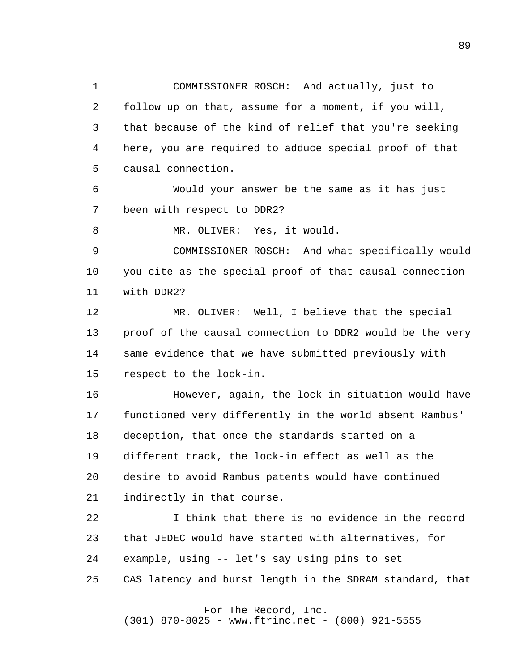1 2 3 4 **5** COMMISSIONER ROSCH: And actually, just to follow up on that, assume for a moment, if you will, that because of the kind of relief that you're seeking here, you are required to adduce special proof of that causal connection.

 6 7 Would your answer be the same as it has just been with respect to DDR2?

 8 MR. OLIVER: Yes, it would.

 9 10 11 COMMISSIONER ROSCH: And what specifically would you cite as the special proof of that causal connection with DDR2?

> 12 13 14 15 MR. OLIVER: Well, I believe that the special proof of the causal connection to DDR2 would be the very same evidence that we have submitted previously with respect to the lock-in.

> 16 17 18 19 20 21 However, again, the lock-in situation would have functioned very differently in the world absent Rambus' deception, that once the standards started on a different track, the lock-in effect as well as the desire to avoid Rambus patents would have continued indirectly in that course.

> 22 23 24 25 I think that there is no evidence in the record that JEDEC would have started with alternatives, for example, using -- let's say using pins to set CAS latency and burst length in the SDRAM standard, that

> > For The Record, Inc. (301) 870-8025 - www.ftrinc.net - (800) 921-5555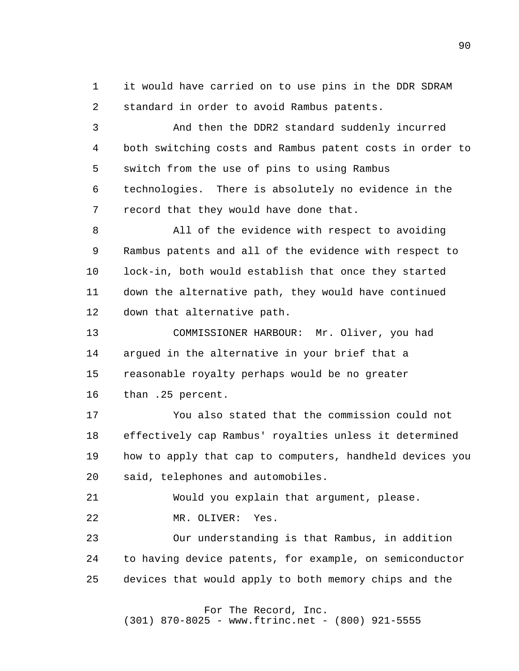1 2 it would have carried on to use pins in the DDR SDRAM standard in order to avoid Rambus patents.

 3 4 **5**  6 7 And then the DDR2 standard suddenly incurred both switching costs and Rambus patent costs in order to switch from the use of pins to using Rambus technologies. There is absolutely no evidence in the record that they would have done that.

 8 9 10 11 12 All of the evidence with respect to avoiding Rambus patents and all of the evidence with respect to lock-in, both would establish that once they started down the alternative path, they would have continued down that alternative path.

> 13 14 15 16 COMMISSIONER HARBOUR: Mr. Oliver, you had argued in the alternative in your brief that a reasonable royalty perhaps would be no greater than .25 percent.

 17 18 19 20 You also stated that the commission could not effectively cap Rambus' royalties unless it determined how to apply that cap to computers, handheld devices you said, telephones and automobiles.

 21 22 Would you explain that argument, please. MR. OLIVER: Yes.

 23 24 25 Our understanding is that Rambus, in addition to having device patents, for example, on semiconductor devices that would apply to both memory chips and the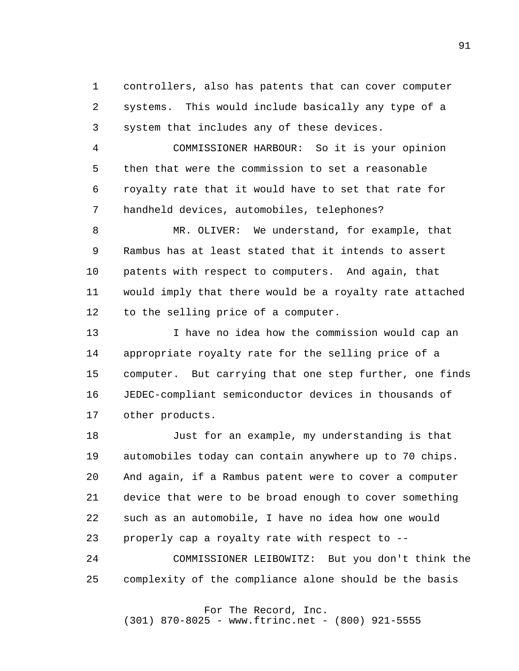1 2 3 controllers, also has patents that can cover computer systems. This would include basically any type of a system that includes any of these devices.

 4 **5**  6 7 COMMISSIONER HARBOUR: So it is your opinion then that were the commission to set a reasonable royalty rate that it would have to set that rate for handheld devices, automobiles, telephones?

 8 9 10 11 12 MR. OLIVER: We understand, for example, that Rambus has at least stated that it intends to assert patents with respect to computers. And again, that would imply that there would be a royalty rate attached to the selling price of a computer.

> 13 14 15 16 17 I have no idea how the commission would cap an appropriate royalty rate for the selling price of a computer. But carrying that one step further, one finds JEDEC-compliant semiconductor devices in thousands of other products.

 18 19 20 21 22 23 Just for an example, my understanding is that automobiles today can contain anywhere up to 70 chips. And again, if a Rambus patent were to cover a computer device that were to be broad enough to cover something such as an automobile, I have no idea how one would properly cap a royalty rate with respect to -

 24 25 COMMISSIONER LEIBOWITZ: But you don't think the complexity of the compliance alone should be the basis

# For The Record, Inc.

(301) 870-8025 - www.ftrinc.net - (800) 921-5555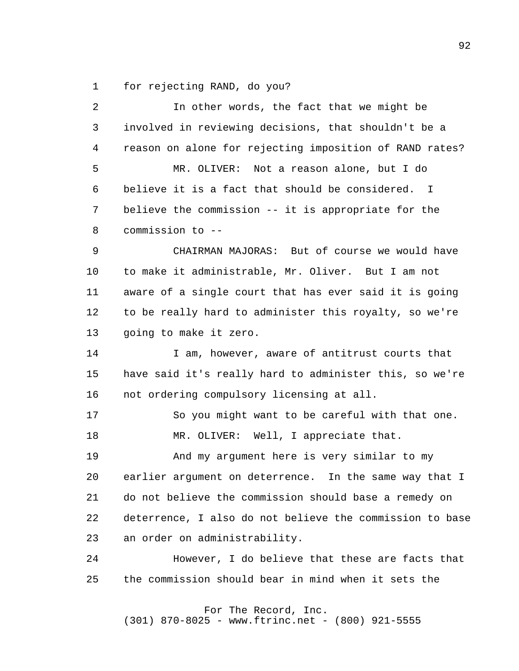1 for rejecting RAND, do you?

| $\overline{a}$ | In other words, the fact that we might be                |
|----------------|----------------------------------------------------------|
| 3              | involved in reviewing decisions, that shouldn't be a     |
| 4              | reason on alone for rejecting imposition of RAND rates?  |
| 5              | Not a reason alone, but I do<br>MR. OLIVER:              |
| 6              | believe it is a fact that should be considered. I        |
| 7              | believe the commission -- it is appropriate for the      |
| 8              | commission to --                                         |
| 9              | CHAIRMAN MAJORAS: But of course we would have            |
| 10             | to make it administrable, Mr. Oliver. But I am not       |
| 11             | aware of a single court that has ever said it is going   |
| 12             | to be really hard to administer this royalty, so we're   |
| 13             | going to make it zero.                                   |
| 14             | I am, however, aware of antitrust courts that            |
| 15             | have said it's really hard to administer this, so we're  |
| 16             | not ordering compulsory licensing at all.                |
| 17             | So you might want to be careful with that one.           |
| 18             | MR. OLIVER: Well, I appreciate that.                     |
| 19             | And my argument here is very similar to my               |
| 20             | earlier argument on deterrence. In the same way that I   |
| 21             | do not believe the commission should base a remedy on    |
| 22             | deterrence, I also do not believe the commission to base |
| 23             | an order on administrability.                            |
| 24             | However, I do believe that these are facts that          |
| 25             | the commission should bear in mind when it sets the      |
|                |                                                          |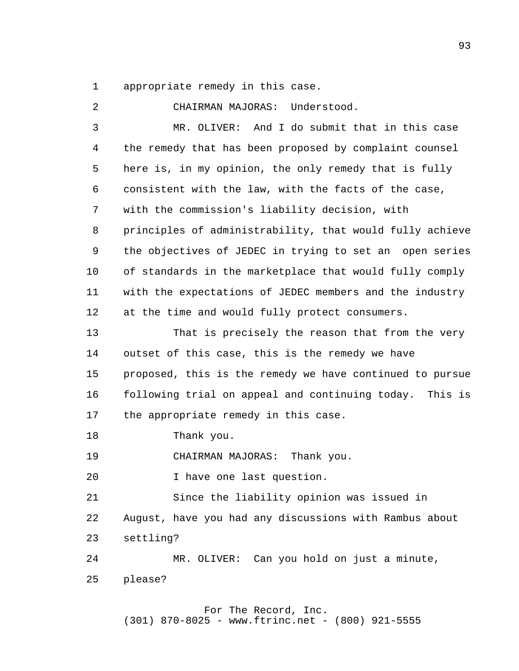1 appropriate remedy in this case.

 2 3 4 **5**  6 7 8 9 10 11 12 13 14 15 16 17 18 19 20 21 22 23 24 25 CHAIRMAN MAJORAS: Understood. MR. OLIVER: And I do submit that in this case the remedy that has been proposed by complaint counsel here is, in my opinion, the only remedy that is fully consistent with the law, with the facts of the case, with the commission's liability decision, with principles of administrability, that would fully achieve the objectives of JEDEC in trying to set an open series of standards in the marketplace that would fully comply with the expectations of JEDEC members and the industry at the time and would fully protect consumers. That is precisely the reason that from the very outset of this case, this is the remedy we have proposed, this is the remedy we have continued to pursue following trial on appeal and continuing today. This is the appropriate remedy in this case. Thank you. CHAIRMAN MAJORAS: Thank you. I have one last question. Since the liability opinion was issued in August, have you had any discussions with Rambus about settling? MR. OLIVER: Can you hold on just a minute, please?

> For The Record, Inc. (301) 870-8025 - www.ftrinc.net - (800) 921-5555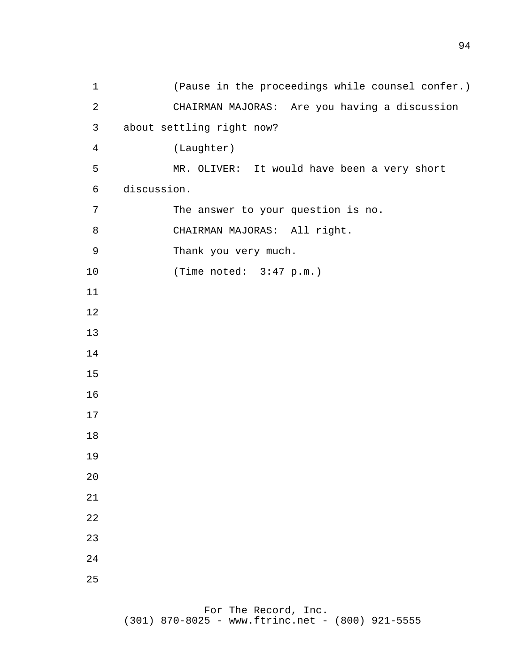(Pause in the proceedings while counsel confer.) CHAIRMAN MAJORAS: Are you having a discussion about settling right now? (Laughter) MR. OLIVER: It would have been a very short discussion. The answer to your question is no. CHAIRMAN MAJORAS: All right. Thank you very much. (Time noted: 3:47 p.m.)